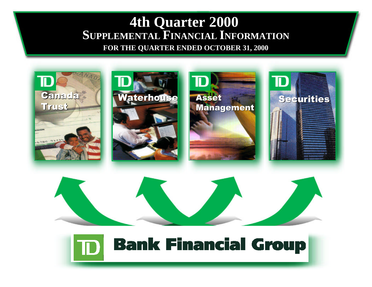# **[4th Quarter 2000](#page-1-0) SUPPLEMENTAL FINANCIAL INFORMATION**

**FOR THE QUARTER ENDED OCTOBER 31, 2000**

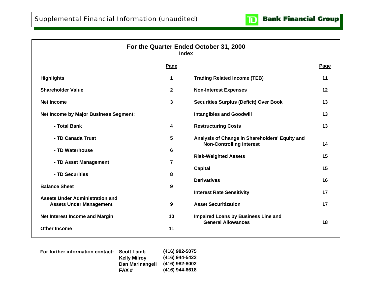

<span id="page-1-0"></span>

|                                              |                | For the Quarter Ended October 31, 2000<br><b>Index</b>                            |      |
|----------------------------------------------|----------------|-----------------------------------------------------------------------------------|------|
|                                              | Page           |                                                                                   | Page |
| <b>Highlights</b>                            | 1              | <b>Trading Related Income (TEB)</b>                                               | 11   |
| <b>Shareholder Value</b>                     | $\mathbf{2}$   | <b>Non-Interest Expenses</b>                                                      | 12   |
| <b>Net Income</b>                            | 3              | <b>Securities Surplus (Deficit) Over Book</b>                                     | 13   |
| <b>Net Income by Major Business Segment:</b> |                | <b>Intangibles and Goodwill</b>                                                   | 13   |
| - Total Bank                                 | 4              | <b>Restructuring Costs</b>                                                        | 13   |
| - TD Canada Trust                            | 5              | Analysis of Change in Shareholders' Equity and<br><b>Non-Controlling Interest</b> | 14   |
| - TD Waterhouse                              | 6              | <b>Risk-Weighted Assets</b>                                                       | 15   |
| - TD Asset Management                        | $\overline{7}$ | <b>Capital</b>                                                                    | 15   |
| - TD Securities                              | 8              | <b>Derivatives</b>                                                                | 16   |
| <b>Balance Sheet</b>                         | 9              | <b>Interest Rate Sensitivity</b>                                                  | 17   |
| <b>Assets Under Administration and</b>       |                |                                                                                   |      |
| <b>Assets Under Management</b>               | 9              | <b>Asset Securitization</b>                                                       | 17   |
| <b>Net Interest Income and Margin</b>        | 10             | <b>Impaired Loans by Business Line and</b><br><b>General Allowances</b>           | 18   |
| <b>Other Income</b>                          | 11             |                                                                                   |      |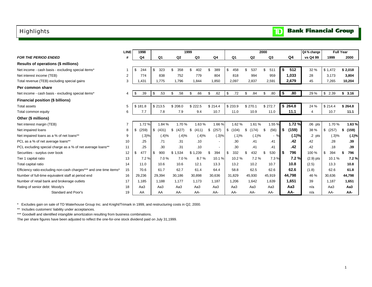### <span id="page-2-0"></span>Highlights

|                                                                    | <b>LINE</b>    | 1998<br>1999   |                |                |                |                          |                |                | 2000       |             | Q4 % change | <b>Full Year</b> |                 |
|--------------------------------------------------------------------|----------------|----------------|----------------|----------------|----------------|--------------------------|----------------|----------------|------------|-------------|-------------|------------------|-----------------|
| <b>FOR THE PERIOD ENDED</b>                                        | #              | Q <sub>4</sub> | Q <sub>1</sub> | Q <sub>2</sub> | Q <sub>3</sub> | Q4                       | Q <sub>1</sub> | Q <sub>2</sub> | Q3         | Q4          | vs Q4 99    | 1999             | 2000            |
| Results of operations (\$ millions)                                |                |                |                |                |                |                          |                |                |            |             |             |                  |                 |
| Net income - cash basis - excluding special items*                 |                | \$<br>244      | 323<br>\$      | 358            | 402<br>\$.     | 389<br>\$                | \$<br>458      | 537<br>\$.     | \$.<br>511 | 512<br>\$   | 32 %        | \$1,472          | \$2,018         |
| Net interest income (TEB)                                          | $\overline{2}$ | 774            | 838            | 752            | 779            | 804                      | 818            | 994            | 959        | 1,033       | 28          | 3.173            | 3,804           |
| Total revenue (TEB) excluding special gains                        | 3              | 1.431          | 1,775          | 1,796          | 1,844          | 1,850                    | 2,097          | 2,837          | 2,591      | 2,679       | 45          | 7.265            | 10,204          |
| Per common share                                                   |                |                |                |                |                |                          |                |                |            |             |             |                  |                 |
| Net income - cash basis - excluding special items*                 | 4              | .39<br>\$      | \$<br>.53      | \$<br>.58      | \$<br>.66      | \$<br>.62                | \$<br>.72      | \$<br>.84      | \$<br>.80  | .80<br>\$   | 29 %        | \$2.39           | \$3.16          |
| Financial position (\$ billions)                                   |                |                |                |                |                |                          |                |                |            |             |             |                  |                 |
| <b>Total assets</b>                                                | 5              | \$181.8        | \$213.5        | \$208.0        | \$222.5        | \$214.4                  | \$233.9        | \$270.1        | \$272.7    | \$264.8     | 24 %        | \$214.4          | \$264.8         |
| Total common equity                                                | 6              | 7.7            | 7.8            | 7.9            | 9.4            | 10.7                     | 11.0           | 10.9           | 11.0       | 11.1        | 4           | 10.7             | 11.1            |
| Other (\$ millions)                                                |                |                |                |                |                |                          |                |                |            |             |             |                  |                 |
| Net interest margin (TEB)                                          | $\overline{7}$ | 1.72%          | 1.84 %         | 1.70%          | 1.63%          | 1.66%                    | 1.62%          | 1.61%          | 1.55 %     | 1.72%       | $.06$ pts   | 1.70%            | 1.63%           |
| Net impaired loans                                                 | 8              | \$<br>(259)    | \$<br>(431)    | (427)<br>\$    | \$<br>(411)    | (257)<br>\$              | \$<br>(104)    | \$<br>(174)    | (56)<br>\$ | (159)<br>\$ | 38 %        | \$<br>(257)      | (159)<br>\$     |
| Net impaired loans as a % of net loans**                           | 9              | (.3)%          | (.4)%          | (.4)%          | (.4)%          | (.3)%                    | (.1)%          | (.1)%          | $-$ %      | (.1)%       | .2 pts      | (.3)%            | (.1)%           |
| PCL as a % of net average loans**                                  | 10             | .25            | .71            | .31            | .10            | $\overline{\phantom{a}}$ | .30            | .41            | .41        | .42         | .42         | .28              | .39             |
| PCL excluding special charge as a % of net average loans**         | 11             | .25            | .30            | .31            | .10            | $\sim$                   | .30            | .41            | .41        | .42         | .42         | .18              | .39             |
| Securities - surplus over book                                     | 12             | \$<br>477      | 900<br>\$      | \$1,534        | \$1,239        | \$<br>394                | 332<br>\$      | 432            | 530<br>\$  | 796<br>S    | 100 %       | \$<br>394        | 796<br>\$       |
| Tier 1 capital ratio                                               | 13             | 7.2%           | 7.0%           | 7.0%           | 8.7%           | 10.1%                    | 10.2%          | 7.2%           | 7.3%       | 7.2%        | $(2.9)$ pts | 10.1%            | 7.2%            |
| Total capital ratio                                                | 14             | 11.0           | 10.6           | 10.6           | 12.1           | 13.3                     | 13.2           | 10.2           | 10.7       | 10.8        | (2.5)       | 13.3             | 10.8            |
| Efficiency ratio-excluding non-cash charges*** and one time items* | 15             | 70.6           | 61.7           | 62.7           | 61.4           | 64.4                     | 58.8           | 62.5           | 62.6       | 62.6        | (1.8)       | 62.6             | 61.8            |
| Number of full-time equivalent staff at period end                 | 16             | 29,236         | 29,394         | 30,186         | 30,898         | 30,636                   | 31.829         | 45,930         | 45,919     | 44.798      | 46 %        | 30.636           | 44,798          |
| Number of retail bank and brokerage outlets                        | 17             | 1,185          | 1.188          | 1,177          | 1,173          | 1,187                    | 1,206          | 1,642          | 1,639      | 1,651       | 39          | 1,187            | 1,651           |
| Rating of senior debt: Moody's                                     | 18             | Aa3            | Aa3            | Aa3            | Aa3            | Aa3                      | Aa3            | Aa3            | Aa3        | Aa3         | n/a         | Aa3              | Aa <sub>3</sub> |
| Standard and Poor's                                                | 19             | AA             | AA             | AA-            | AA-            | AA-                      | AA-            | AA-            | AA-        | AA-         | n/a         | AA-              | AA-             |

\* Excludes gain on sale of TD Waterhouse Group Inc. and Knight/Trimark in 1999, and restructuring costs in Q2, 2000.

\*\* Includes customers' liability under acceptances.

\*\*\* Goodwill and identified intangible amortization resulting from business combinations.

The per share figures have been adjusted to reflect the one-for-one stock dividend paid on July 31,1999.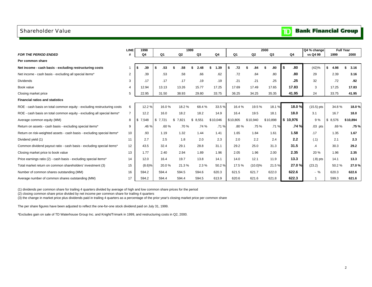#### <span id="page-3-0"></span>Shareholder Value

## **TD** Bank Financial Group

|                                                                         | <b>LINE</b><br>1998<br>1999 |           |           |                |             |            |          |                | 2000     |          | Q4 % change  |             | <b>Full Year</b> |
|-------------------------------------------------------------------------|-----------------------------|-----------|-----------|----------------|-------------|------------|----------|----------------|----------|----------|--------------|-------------|------------------|
| <b>FOR THE PERIOD ENDED</b>                                             |                             | Q4        | Q1        | Q <sub>2</sub> | Q3          | Q4         | Q1       | Q <sub>2</sub> | Q3       | Q4       | vs Q4 99     | 1999        | 2000             |
| Per common share                                                        |                             |           |           |                |             |            |          |                |          |          |              |             |                  |
| Net income - cash basis - excluding restructuring costs                 |                             | .39<br>s. | .53<br>\$ | .58            | 2.48        | 1.39<br>\$ | .72      | .84            | .80      | .80      | (42)%        | 4.98<br>\$  | 3.16             |
| Net income - cash basis - excluding all special items*                  | 2                           | .39       | .53       | .58            | .66         | .62        | .72      | .84            | .80      | .80      | 29           | 2.39        | 3.16             |
| <b>Dividends</b>                                                        | 3                           | .17       | .17       | .17            | .19         | .19        | .21      | .21            | .25      | .25      | 32           | .72         | .92              |
| Book value                                                              | 4                           | 12.94     | 13.13     | 13.26          | 15.77       | 17.25      | 17.69    | 17.49          | 17.65    | 17.83    | 3            | 17.25       | 17.83            |
| Closing market price                                                    | 5                           | 22.95     | 31.50     | 38.93          | 29.80       | 33.75      | 36.25    | 34.25          | 35.35    | 41.95    | 24           | 33.75       | 41.95            |
| <b>Financial ratios and statistics</b>                                  |                             |           |           |                |             |            |          |                |          |          |              |             |                  |
| ROE - cash basis on total common equity - excluding restructuring costs | 6                           | 12.2 %    | 16.0%     | 18.2%          | 68.4%       | 33.5%      | 16.4 %   | 19.5%          | 18.1%    | 18.0%    | $(15.5)$ pts | 34.8%       | 18.0%            |
| ROE - cash basis on total common equity - excluding all special items*  | $\overline{7}$              | 12.2      | 16.0      | 18.2           | 18.2        | 14.9       | 16.4     | 19.5           | 18.1     | 18.0     | 3.1          | 16.7        | 18.0             |
| Average common equity (MM)                                              | 8                           | \$7,548   | \$7,721   | 7,821<br>\$    | \$<br>8,551 | \$10,046   | \$10,805 | \$10,940       | \$10,898 | \$10,976 | 9%           | 8,576<br>\$ | \$10.894         |
| Return on assets - cash basis - excluding special items*                | 9                           | .46 %     | .60%      | .70%           | .74%        | .71%       | .80%     | .75 %          | .71%     | .74%     | $.03$ pts    | .69%        | .75%             |
| Return on risk-weighted assets - cash basis - excluding special items*  | 10                          | .93       | 1.19      | 1.32           | 1.44        | 1.41       | 1.65     | 1.84           | 1.61     | 1.58     | .17          | 1.35        | 1.67             |
| Dividend yield (1)                                                      | 11                          | 2.7       | 2.5       | 1.8            | 2.0         | 2.3        | 2.0      | 2.2            | 2.4      | 2.2      | (.1)         | 2.1         | 2.3              |
| Common dividend payout ratio - cash basis - excluding special items*    | 12                          | 43.5      | 32.4      | 29.1           | 28.8        | 31.1       | 29.2     | 25.0           | 31.3     | 31.5     | $\cdot$      | 30.3        | 29.2             |
| Closing market price to book value                                      | 13                          | 1.77      | 2.40      | 2.94           | 1.89        | 1.96       | 2.05     | 1.96           | 2.00     | 2.35     | 20 %         | 1.96        | 2.35             |
| Price earnings ratio (2) - cash basis - excluding special items*        | 14                          | 12.0      | 16.4      | 19.7           | 13.8        | 14.1       | 14.0     | 12.1           | 11.9     | 13.3     | $(.8)$ pts   | 14.1        | 13.3             |
| Total market return on common shareholders' investment (3)              | 15                          | (8.6)%    | 20.0%     | 21.3%          | 2.3%        | 50.2%      | 17.5%    | $(10.0)\%$     | 21.5%    | 27.0%    | (23.2)       | 50.2%       | 27.0%            |
| Number of common shares outstanding (MM)                                | 16                          | 594.2     | 594.4     | 594.5          | 594.6       | 620.3      | 621.5    | 621.7          | 622.0    | 622.6    | $-$ %        | 620.3       | 622.6            |
| Average number of common shares outstanding (MM)                        | 17                          | 594.2     | 594.4     | 594.4          | 594.5       | 613.9      | 620.6    | 621.6          | 621.8    | 622.3    |              | 599.3       | 621.6            |

(1) dividends per common share for trailing 4 quarters divided by average of high and low common share prices for the period

(2) closing common share price divided by net income per common share for trailing 4 quarters

(3) the change in market price plus dividends paid in trailing 4 quarters as a percentage of the prior year's closing market price per common share

The per share figures have been adjusted to reflect the one-for-one stock dividend paid on July 31, 1999.

\*Excludes gain on sale of TD Waterhouse Group Inc. and Knight/Trimark in 1999, and restructuring costs in Q2, 2000.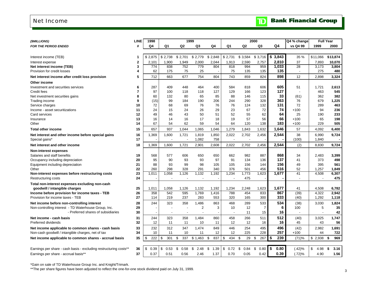#### <span id="page-4-0"></span>Net Income

|  |  | <b>TD</b> Bank Financial Group |  |
|--|--|--------------------------------|--|
|--|--|--------------------------------|--|

| (\$MILLIONS)                                                         | <b>LINE</b>    | 1998       |                                   |                | 1999           |              |                 |                 | 2000           |             | Q4 % change              | <b>Full Year</b> |            |
|----------------------------------------------------------------------|----------------|------------|-----------------------------------|----------------|----------------|--------------|-----------------|-----------------|----------------|-------------|--------------------------|------------------|------------|
| <b>FOR THE PERIOD ENDED</b>                                          | #              | Q4         | Q1                                | Q <sub>2</sub> | Q3             | Q4           | Q1              | Q2              | Q3             | Q4          | vs Q4 99                 | 1999             | 2000       |
|                                                                      |                |            |                                   |                |                |              |                 |                 |                |             |                          |                  |            |
| Interest income (TEB)                                                | 1              | \$2,875    | \$2,738                           | \$2,701        | \$2,779        | \$2,848      | \$2,731         | \$3,584         | \$3,716        | \$<br>3,843 | 35 %                     | \$11,066         | \$13,874   |
| Interest expense                                                     | $\mathbf{2}$   | 2,101      | 1,900                             | 1,949          | 2,000          | 2,044        | 1,913           | 2,590           | 2,757          | 2,810       | 37                       | 7,893            | 10,070     |
| Net interest income (TEB)                                            | 3              | 774        | 838                               | 752            | 779            | 804          | 818             | 994             | 959            | 1,033       | 28                       | 3,173            | 3,804      |
| Provision for credit losses                                          | 4              | 62         | 175                               | 75             | 25             |              | 75              | 135             | 135            | 135         | $\overline{\phantom{a}}$ | 275              | 480        |
| Net interest income after credit loss provision                      | 5              | 712        | 663                               | 677            | 754            | 804          | 743             | 859             | 824            | 898         | 12                       | 2.898            | 3,324      |
| Other income                                                         |                |            |                                   |                |                |              |                 |                 |                |             |                          |                  |            |
| Investment and securities services                                   | 6              | 287        | 409                               | 448            | 464            | 400          | 584             | 818             | 606            | 605         | 51                       | 1,721            | 2,613      |
| Credit fees                                                          | $\overline{7}$ | 97         | 100                               | 118            | 118            | 127          | 129             | 166             | 123            | 127         |                          | 463              | 545        |
| Net investment securities gains                                      | 8              | 60         | 132                               | 80             | 65             | 85           | 88              | 146             | 115            | 33          | (61)                     | 362              | 382        |
| Trading income                                                       | 9              | (15)       | 99                                | 184            | 190            | 206          | 244             | 290             | 328            | 363         | 76                       | 679              | 1,225      |
| Service charges                                                      | 10             | 72         | 68                                | 69             | 76             | 76           | 76              | 124             | 132            | 131         | 72                       | 289              | 463        |
| Income - asset securitizations                                       | 11             | 24         | 15                                | 24             | 26             | 29           | 23              | 67              | 72             | 74          | $+100$                   | 94               | 236        |
| Card services                                                        | 12<br>13       | 49<br>16   | 46<br>14                          | 43<br>16       | 50<br>17       | 51<br>18     | 52<br>19        | 55<br>57        | 62<br>56       | 64<br>66    | 25<br>$+100$             | 190<br>65        | 233<br>198 |
| Insurance<br>Other                                                   | 14             | 67         | 54                                | 62             | 59             | 54           | 64              | 120             | 138            | 183         | $+100$                   | 229              | 505        |
| <b>Total other income</b>                                            | 15             | 657        | 937                               | 1,044          | 1,065          | 1,046        | 1,279           | 1,843           | 1,632          | 1,646       | 57                       | 4,092            | 6,400      |
|                                                                      |                |            |                                   |                |                |              |                 |                 |                |             |                          |                  |            |
| Net interest and other income before special gains<br>Special gains* | 16<br>17       | 1,369      | 1,600<br>$\overline{\phantom{a}}$ | 1,721          | 1,819<br>1,082 | 1,850<br>758 | 2,022<br>$\sim$ | 2,702<br>$\sim$ | 2,456          | 2,544       | 38<br>(100)              | 6,990<br>1,840   | 9,724      |
|                                                                      |                |            |                                   |                |                |              |                 |                 |                |             |                          |                  |            |
| Net interest and other income                                        | 18             | 1,369      | 1,600                             | 1,721          | 2,901          | 2,608        | 2,022           | 2,702           | 2,456          | 2,544       | (2)                      | 8,830            | 9,724      |
| <b>Non-interest expenses</b>                                         |                |            |                                   |                |                |              |                 |                 |                |             |                          |                  |            |
| Salaries and staff benefits                                          | 19             | 568        | 577                               | 606            | 650            | 650          | 662             | 982             | 887            | 868         | 34                       | 2,483            | 3,399      |
| Occupancy including depreciation                                     | 20             | 95         | 90<br>93                          | 93             | 93<br>98       | 97<br>105    | 91              | 134             | 136            | 137<br>156  | 41                       | 373<br>395       | 498<br>561 |
| Equipment including depreciation<br>Other                            | 21<br>22       | 88<br>260  | 298                               | 99<br>328      | 291            | 340          | 105<br>376      | 156<br>501      | 144<br>456     | 516         | 49<br>52                 | 1.257            | 1,849      |
| Non-interest expenses before restructuring costs                     | 23             | 1.011      | 1,058                             | 1,126          | 1,132          | 1,192        | 1,234           | 1,773           | 1,623          | 1,677       | 41                       | 4,508            | 6,307      |
| Restructuring costs                                                  | 24             |            |                                   |                | $\overline{a}$ |              |                 | 475             |                |             | $\overline{a}$           |                  | 475        |
| Total non-interest expenses excluding non-cash                       |                |            |                                   |                |                |              |                 |                 |                |             |                          |                  |            |
| goodwill / intangible charges                                        | 25             | 1,011      | 1,058                             | 1,126          | 1,132          | 1,192        | 1,234           | 2,248           | 1,623          | 1,677       | 41                       | 4,508            | 6,782      |
| Income before provision for income taxes - TEB                       | 26             | 358        | 542                               | 595            | 1,769          | 1,416        | 788             | 454             | 833            | 867         | (39)                     | 4,322            | 2,942      |
| Provision for income taxes - TEB                                     | 27             | 114        | 219                               | 237            | 283            | 553          | 320             | 165             | 300            | 333         | (40)                     | 1,292            | 1,118      |
| Net income before non-controlling interest                           | 28             | 244        | 323                               | 358            | 1,486          | 863          | 468             | 289             | 533            | 534         | (38)                     | 3,030            | 1,824      |
| Non-controlling interest - TD Waterhouse Group, Inc.                 | 29             |            |                                   |                | $\overline{2}$ | 3            | 10              | 12              | $\overline{7}$ | 6           | 100                      | 5                | 35         |
| - Preferred shares of subsidiaries                                   | 30             |            | $\overline{\phantom{a}}$          |                | $\blacksquare$ |              |                 | 11              | 15             | 16          |                          |                  | 42         |
| Net income - cash basis                                              | 31             | 244        | 323                               | 358            | 1,484          | 860          | 458             | 266             | 511            | 512         | (40)                     | 3,025            | 1,747      |
| Preferred dividends                                                  | 32             | 12         | 11                                | 11             | 10             | 11           | 12              | 12              | 16             | 16          | 45                       | 43               | 56         |
| Net income applicable to common shares - cash basis                  | 33             | 232        | 312                               | 347            | 1,474          | 849          | 446             | 254             | 495            | 496         | (42)                     | 2,982            | 1,691      |
| Non-cash goodwill / intangible charges, net of tax                   | 34             | 10         | 11                                | 10             | 11             | 12           | 12              | 225             | 228            | 257         | $+100$                   | 44               | 722        |
| Net income applicable to common shares - accrual basis               | 35             | 222<br>\$  | \$<br>301                         | \$<br>337      | \$1,463        | \$<br>837    | \$<br>434       | \$<br>29        | 267<br>\$      | \$<br>239   | (71)%                    | \$2,938          | \$<br>969  |
|                                                                      |                |            |                                   |                |                |              |                 |                 |                |             |                          |                  |            |
| Earnings per share - cash basis - excluding restructuring costs**    | 36             | \$<br>0.39 | \$<br>0.53                        | 0.58<br>\$     | \$<br>2.48     | \$<br>1.39   | \$<br>0.72      | 0.84<br>\$      | 0.80<br>\$     | \$<br>0.80  | (.42)%                   | \$<br>4.98       | \$<br>3.16 |
| Earnings per share - accrual basis**                                 | 37             | 0.37       | 0.51                              | 0.56           | 2.46           | 1.37         | 0.70            | 0.05            | 0.42           | 0.39        | (.72)%                   | 4.90             | 1.56       |
|                                                                      |                |            |                                   |                |                |              |                 |                 |                |             |                          |                  |            |

\*Gain on sale of TD Waterhouse Group Inc. and Knight/Trimark.

\*\*The per share figures have been adjusted to reflect the one-for-one stock dividend paid on July 31, 1999.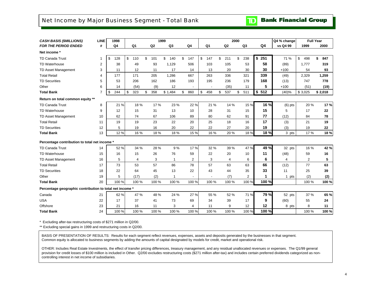### <span id="page-5-0"></span>Net Income by Major Business Segment - Total Bank

**Bank Financial Group** 

 $\mathbf{D}$ 

| <b>CASH BASIS (\$MILLIONS)</b>                           | <b>LINE</b>    | 1999<br>1998 |                |           |                |                |                | 2000           |                |       | Q4 % change | <b>Full Year</b> |           |
|----------------------------------------------------------|----------------|--------------|----------------|-----------|----------------|----------------|----------------|----------------|----------------|-------|-------------|------------------|-----------|
| <b>FOR THE PERIOD ENDED</b>                              | #              | Q4           | Q <sub>1</sub> | Q2        | Q <sub>3</sub> | Q4             | Q <sub>1</sub> | Q <sub>2</sub> | Q <sub>3</sub> | Q4    | vs Q4 99    | 1999             | 2000      |
| Net income *                                             |                |              |                |           |                |                |                |                |                |       |             |                  |           |
| <b>TD Canada Trust</b>                                   |                | \$<br>128    | \$<br>110      | \$<br>101 | \$<br>140      | \$<br>147      | \$<br>147      | \$<br>211      | \$<br>238      | \$251 | 71 %        | \$<br>498        | \$<br>847 |
| <b>TD Waterhouse</b>                                     | $\overline{2}$ | 38           | 49             | 93        | 1,129          | 506            | 103            | 105            | 53             | 58    | (89)        | 1,777            | 319       |
| TD Asset Management                                      | 3              | 11           | 12             | 11        | 17             | 14             | 13             | 20             | 30             | 30    | $+100$      | 54               | 93        |
| <b>Total Retail</b>                                      | 4              | 177          | 171            | 205       | 1,286          | 667            | 263            | 336            | 321            | 339   | (49)        | 2,329            | 1,259     |
| <b>TD Securities</b>                                     | 5              | 53           | 206            | 162       | 186            | 193            | 195            | 236            | 179            | 168   | (13)        | 747              | 778       |
| Other                                                    | 6              | 14           | (54)           | (9)       | 12             |                |                | (35)           | 11             | 5     | $+100$      | (51)             | (19)      |
| <b>Total Bank</b>                                        | $\overline{7}$ | \$<br>244    | \$<br>323      | \$<br>358 | \$1,484        | \$<br>860      | \$<br>458      | 537<br>\$      | 511<br>\$      | \$512 | (40)%       | \$3,025          | \$2,018   |
| Return on total common equity **                         |                |              |                |           |                |                |                |                |                |       |             |                  |           |
| <b>TD Canada Trust</b>                                   | 8              | 21 %         | 18%            | 17%       | 23 %           | 22 %           | 21 %           | 14 %           | 15 %           | 16 %  | $(6)$ pts   | 20%              | 17%       |
| <b>TD Waterhouse</b>                                     | 9              | 12           | 15             | 31        | 13             | 10             | 28             | 31             | 15             | 15    | 5           | 17               | 22        |
| TD Asset Management                                      | 10             | 62           | 74             | 67        | 106            | 89             | 80             | 62             | 91             | 77    | (12)        | 84               | 78        |
| <b>Total Retail</b>                                      | 11             | 19           | 19             | 23        | 22             | 20             | 25             | 18             | 16             | 17    | (3)         | 21               | 19        |
| <b>TD Securities</b>                                     | 12             | 5            | 19             | 16        | 20             | 22             | 22             | 27             | 20             | 19    | (3)         | 19               | 22        |
| <b>Total Bank</b>                                        | 13             | 12%          | 16 %           | 18%       | 18 %           | 15 %           | 16 %           | 20 %           | 18%            | 18%   | 3 pts       | 17%              | 18%       |
| Percentage contribution to total net income *            |                |              |                |           |                |                |                |                |                |       |             |                  |           |
| <b>TD Canada Trust</b>                                   | 14             | 52 %         | 34 %           | 28 %      | 9%             | 17%            | 32 %           | 39 %           | 47 %           | 49 %  | 32 pts      | 16 %             | 42 %      |
| <b>TD Waterhouse</b>                                     | 15             | 16           | 15             | 26        | 76             | 59             | 22             | 20             | 10             | 11    | (48)        | 59               | 16        |
| TD Asset Management                                      | 16             | 5            | $\overline{4}$ | 3         | $\mathbf{1}$   | $\overline{2}$ | 3              | 4              | 6              | 6     | 4           | $\overline{2}$   | 5         |
| <b>Total Retail</b>                                      | 17             | 73           | 53             | 57        | 86             | 78             | 57             | 63             | 63             | 66    | (12)        | 77               | 63        |
| <b>TD Securities</b>                                     | 18             | 22           | 64             | 45        | 13             | 22             | 43             | 44             | 35             | 33    | 11          | 25               | 39        |
| Other                                                    | 19             | 5            | (17)           | (2)       | 1              |                |                | (7)            | 2              | 1     | 1 pts       | (2)              | (2)       |
| <b>Total Bank</b>                                        | 20             | 100 %        | 100 %          | 100 %     | 100 %          | 100 %          | 100 %          | 100 %          | 100 %          | 100 % |             | 100 %            | 100 %     |
| Percentage geographic contribution to total net income * |                |              |                |           |                |                |                |                |                |       |             |                  |           |
| Canada                                                   | 21             | 62%          | 47 %           | 48 %      | 24 %           | 27 %           | 55 %           | 52 %           | 71 %           | 79 %  | 52 pts      | 37 %             | 65 %      |
| <b>USA</b>                                               | 22             | 17           | 37             | 41        | 73             | 69             | 34             | 39             | 17             | 9     | (60)        | 55               | 24        |
| Offshore                                                 | 23             | 21           | 16             | 11        | 3              | 4              | 11             | 9              | 12             | 12    | 8 pts       | 8                | 11        |
| <b>Total Bank</b>                                        | 24             | 100 %        | 100 %          | 100 %     | 100 %          | 100 %          | 100 %          | 100 %          | 100 %          | 100 % |             | 100 %            | 100 %     |

\* Excluding after-tax restructuring costs of \$271 million in Q2/00.

\*\* Excluding special gains in 1999 and restructuring costs in Q2/00.

BASIS OF PRESENTATION OF RESULTS: Results for each segment reflect revenues, expenses, assets and deposits generated by the businesses in that segment. Common equity is allocated to business segments by adding the amounts of capital designated by models for credit, market and operational risk.

OTHER: Includes Real Estate Investments, the effect of transfer pricing differences, treasury management, and any residual unallocated revenues or expenses. The Q1/99 general provision for credit losses of \$100 million is included in Other. Q2/00 excludes restructuring costs (\$271 million after-tax) and includes certain preferred dividends categorized as noncontrolling interest in net income of subsidiaries.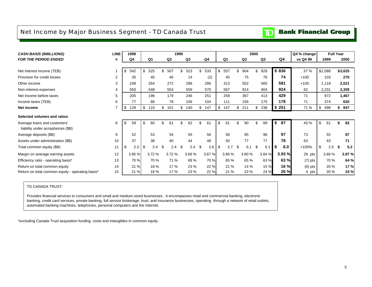### <span id="page-6-0"></span>Net Income by Major Business Segment - TD Canada Trust

#### **Bank Financial Group**  $\mathbf{D}$

| <b>CASH BASIS (\$MILLIONS)</b>                   | <b>LINE</b> | 1998      | 1999           |    |                |                |        |     |       |     |       |                | 2000 |                |     |                | Q4 % change | <b>Full Year</b> |    |         |
|--------------------------------------------------|-------------|-----------|----------------|----|----------------|----------------|--------|-----|-------|-----|-------|----------------|------|----------------|-----|----------------|-------------|------------------|----|---------|
| <b>FOR THE PERIOD ENDED</b>                      | #           | Q4        | Q <sub>1</sub> |    | Q <sub>2</sub> | Q <sub>3</sub> |        |     | Q4    |     | Q1    | Q <sub>2</sub> |      | Q <sub>3</sub> |     | Q <sub>4</sub> | vs Q4 99    | 1999             |    | 2000    |
|                                                  |             |           |                |    |                |                |        |     |       |     |       |                |      |                |     |                |             |                  |    |         |
| Net interest income (TEB)                        |             | \$<br>542 | \$<br>525      | ደ  | 507            | \$<br>523      |        | \$  | 533   | -\$ | 557   | \$<br>804      | \$   | 828            |     | \$836          | 57 %        | \$2,088          |    | \$3,025 |
| Provision for credit losses                      | 2           | 35        | 45             |    | 46             |                | 14     |     | (2)   |     | 45    | 75             |      | 76             |     | 74             | $+100$      | 103              |    | 270     |
| Other income                                     | 3           | 248       | 264            |    | 272            | 296            |        |     | 286   |     | 313   | 552            |      | 565            |     | 591            | $+100$      | 1,118            |    | 2,021   |
| Non-interest expenses                            | 4           | 550       | 548            |    | 554            | 559            |        |     | 570   |     | 567   | 914            |      | 904            |     | 924            | 62          | 2,231            |    | 3,309   |
| Net income before taxes                          | 5           | 205       | 196            |    | 179            | 246            |        |     | 251   |     | 258   | 367            |      | 413            |     | 429            | 71          | 872              |    | 1,467   |
| Income taxes (TEB)                               | 6           | 77        | 86             |    | 78             | 106            |        |     | 104   |     | 111   | 156            |      | 175            |     | 178            | 71          | 374              |    | 620     |
| Net income                                       | 7           | \$<br>128 | \$<br>110      | \$ | 101            | 140<br>\$      |        | \$  | 147   | \$  | 147   | \$<br>211      | \$   | 238            |     | \$251          | 71 %        | \$<br>498        | \$ | 847     |
| Selected volumes and ratios                      |             |           |                |    |                |                |        |     |       |     |       |                |      |                |     |                |             |                  |    |         |
| Average loans and customers'                     | 8           | \$<br>59  | \$<br>60       |    | 61             | \$.            | 62     | \$  | 61    | \$  | 61    | \$<br>90       | \$   | 89             | S.  | 87             | 43 %        | \$<br>61         |    | 82      |
| liability under acceptances (\$B)                |             |           |                |    |                |                |        |     |       |     |       |                |      |                |     |                |             |                  |    |         |
| Average deposits (\$B)                           | 9           | 52        | 53             |    | 54             |                | 55     |     | 56    |     | 58    | 95             |      | 96             |     | 97             | 73          | 55               |    | 87      |
| Assets under administration (\$B)                | 10          | 37        | 38             |    | 40             |                | 44     |     | 48    |     | 50    | 77             |      | 77             |     | 78             | 63          | 43               |    | 71      |
| Total common equity (\$B)                        | 11          | \$<br>2.3 | \$<br>2.4      |    | 2.4            | \$.            | 2.4    | \$. | 2.6   | -\$ | 2.7   | \$<br>6.1      | \$   | 6.1            | - 5 | 6.0            | $+100%$     | \$<br>2.5        | Я  | 5.2     |
| Margin on average earning assets                 | 12          | 3.85 %    | 3.72%          |    | 3.72%          |                | 3.66 % |     | 3.67% |     | 3.89% | 3.80%          |      | 3.84 %         |     | 3.93 %         | 26 pts      | 3.69%            |    | 3.87%   |
| Efficiency ratio - operating basis*              | 13          | 70 %      | 70 %           |    | 71 %           |                | 68 %   |     | 70 %  |     | 65 %  | 65 %           |      | 63 %           |     | 63 %           | $(7)$ pts   | 70 %             |    | 64 %    |
| Return on total common equity                    | 14          | 21 %      | 18%            |    | 17%            |                | 23 %   |     | 22 %  |     | 21 %  | 14 %           |      | 15 %           |     | 16 %           | $(6)$ pts   | 20 %             |    | 17%     |
| Return on total common equity - operating basis* | 15          | 21 %      | 18%            |    | 17 %           |                | 23 %   |     | 22 %  |     | 21 %  | 23 %           |      | 24 %           |     | 26 %           | 4 pts       | 20 %             |    | 24 %    |

#### TD CANADA TRUST:

Provides financial services to consumers and small and medium-sized businesses. It encompasses retail and commercial banking, electronic banking, credit card services, private banking, full service brokerage, trust, and insurance businesses, operating through a network of retail outlets, automated banking machines, telephones, personal computers and the Internet.

\*excluding Canada Trust acquisition funding costs and intangibles in common equity.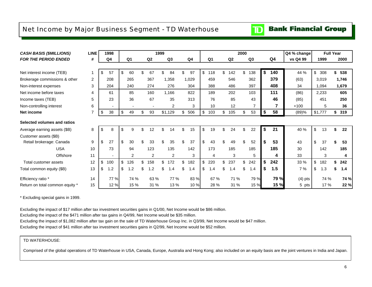### <span id="page-7-0"></span>Net Income by Major Business Segment - TD Waterhouse

## **TD** Bank Financial Group

| <b>CASH BASIS (\$MILLIONS)</b>  | <b>LINE</b> | 1998           | 1999 |                |     |                |     |                |     |                |           |           | 2000 |                |           | Q4 % change |                           | <b>Full Year</b> |    |       |
|---------------------------------|-------------|----------------|------|----------------|-----|----------------|-----|----------------|-----|----------------|-----------|-----------|------|----------------|-----------|-------------|---------------------------|------------------|----|-------|
| <b>FOR THE PERIOD ENDED</b>     | #           | Q <sub>4</sub> |      | Q <sub>1</sub> |     | Q2             |     | Q3             |     | Q <sub>4</sub> | Q1        | Q2        |      | Q <sub>3</sub> | Q4        | vs Q4 99    |                           | 1999             |    | 2000  |
|                                 |             |                |      |                |     |                |     |                |     |                |           |           |      |                |           |             |                           |                  |    |       |
| Net interest income (TEB)       | 1           | \$<br>57       | \$   | 60             |     | 67             |     | 84             | \$  | 97             | \$<br>118 | \$<br>142 | \$   | 138            | \$<br>140 | 44 %        | \$                        | 308              | \$ | 538   |
| Brokerage commissions & other   | 2           | 208            |      | 265            |     | 367            |     | 1,358          |     | 1,029          | 459       | 546       |      | 362            | 379       | (63)        |                           | 3,019            |    | 1,746 |
| Non-interest expenses           | 3           | 204            |      | 240            |     | 274            |     | 276            |     | 304            | 388       | 486       |      | 397            | 408       | 34          |                           | 1,094            |    | 1,679 |
| Net income before taxes         | 4           | 61             |      | 85             |     | 160            |     | 1,166          |     | 822            | 189       | 202       |      | 103            | 111       | (86)        |                           | 2,233            |    | 605   |
| Income taxes (TEB)              | 5           | 23             |      | 36             |     | 67             |     | 35             |     | 313            | 76        | 85        |      | 43             | 46        | (85)        |                           | 451              |    | 250   |
| Non-controlling interest        | 6           |                |      |                |     |                |     | 2              |     | 3              | 10        | 12        |      | 7              | 7         | $+100$      |                           | 5                |    | 36    |
| Net income                      | 7           | \$<br>38       | \$   | 49             | \$  | 93             |     | \$1,129        | \$  | 506            | \$<br>103 | \$<br>105 | \$   | 53             | \$<br>58  | (89)%       |                           | \$1,777          | \$ | 319   |
| Selected volumes and ratios     |             |                |      |                |     |                |     |                |     |                |           |           |      |                |           |             |                           |                  |    |       |
| Average earning assets (\$B)    | 8           | \$<br>8        | \$   | 9              | \$  | 12             | \$  | 14             | \$  | 15             | \$<br>19  | \$<br>24  | \$   | 22             | \$<br>21  | 40 %        | $\boldsymbol{\mathsf{S}}$ | 13               | \$ | 22    |
| Customer assets (\$B)           |             |                |      |                |     |                |     |                |     |                |           |           |      |                |           |             |                           |                  |    |       |
| Retail brokerage: Canada        | 9           | \$<br>27       | \$   | 30             |     | 33             |     | 35             |     | 37             | \$<br>43  | 49        | \$.  | 52             | \$<br>53  | 43          | \$                        | 37               |    | 53    |
| <b>USA</b>                      | 10          | 73             |      | 94             |     | 123            |     | 135            |     | 142            | 173       | 185       |      | 185            | 185       | 30          |                           | 142              |    | 185   |
| Offshore                        | 11          |                |      | 2              |     | $\overline{2}$ |     | $\overline{2}$ |     | 3              | 4         | 3         |      | 5              | 4         | 33          |                           | 3                |    | 4     |
| Total customer assets           | 12          | \$<br>100      | \$   | 126            | \$  | 158            | \$. | 172            |     | 182            | \$<br>220 | \$<br>237 | \$   | 242            | \$<br>242 | 33 %        | \$                        | 182              | \$ | 242   |
| Total common equity (\$B)       | 13          | \$<br>1.2      | \$   | 1.2            | \$. | 1.2            |     | 1.4            | \$. | 1.4            | \$<br>1.4 | \$<br>1.4 | \$   | 1.4            | \$<br>1.5 | 7 %         | \$                        | 1.3              | S  | 1.4   |
| Efficiency ratio *              | 14          | 77 %           |      | 74 %           |     | 63 %           |     | 77 %           |     | 83 %           | 67 %      | 71 %      |      | 79 %           | 79 %      | $(4)$ pts   |                           | 74 %             |    | 74 %  |
| Return on total common equity * | 15          | 12%            |      | 15 %           |     | 31 %           |     | 13 %           |     | 10 %           | 28 %      | 31 %      |      | 15 %           | 15 %      | 5 pts       |                           | 17 %             |    | 22 %  |

\* Excluding special gains in 1999.

Excluding the impact of \$17 million after tax investment securities gains in Q1/00, Net Income would be \$86 million.

Excluding the impact of the \$471 million after tax gains in Q4/99, Net Income would be \$35 million.

Excluding the impact of \$1,082 million after tax gain on the sale of TD Waterhouse Group Inc. in Q3/99, Net Income would be \$47 million.

Excluding the impact of \$41 million after tax investment securities gains in Q2/99, Net Income would be \$52 million.

#### TD WATERHOUSE:

Comprised of the global operations of TD Waterhouse in USA, Canada, Europe, Australia and Hong Kong; also included on an equity basis are the joint ventures in India and Japan.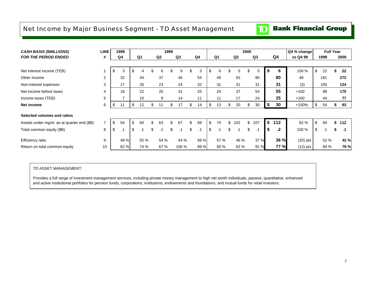### <span id="page-8-0"></span>Net Income by Major Business Segment - TD Asset Management

## **TD** Bank Financial Group

| <b>CASH BASIS (\$MILLIONS)</b>             | <b>LINE</b>    | 1998     |          |                | 1999 |       |     |           |          |           | 2000 |           |    |      | Q4 % change | <b>Full Year</b> |    |           |
|--------------------------------------------|----------------|----------|----------|----------------|------|-------|-----|-----------|----------|-----------|------|-----------|----|------|-------------|------------------|----|-----------|
| <b>FOR THE PERIOD ENDED</b>                | #              | Q4       | Q1       | Q <sub>2</sub> |      | Q3    |     | Q4        | Q1       | Q2        |      | Q3        |    | Q4   | vs Q4 99    | 1999             |    | 2000      |
|                                            |                |          |          |                |      |       |     |           |          |           |      |           |    |      |             |                  |    |           |
| Net interest income (TEB)                  |                | \$<br>3  | \$<br>4  | \$<br>6        | \$   | 9     | ъ.  | 3         | \$<br>6  | \$<br>5   | S    | 5         | S  | 6    | 100 %       | \$<br>22         |    | 22        |
| Other income                               | $\overline{2}$ | 32       | 44       | 37             |      | 46    |     | 54        | 49       | 63        |      | 80        |    | 80   | 48          | 181              |    | 272       |
| Non-interest expenses                      | 3              | 17       | 26       | 23             |      | 24    |     | 32        | 31       | 31        |      | 31        |    | 31   | (3)         | 105              |    | 124       |
| Net income before taxes                    | 4              | 18       | 22       | 20             |      | 31    |     | 25        | 24       | 37        |      | 54        |    | 55   | $+100$      | 98               |    | 170       |
| Income taxes (TEB)                         | 5              |          | 10       | 9              |      | 14    |     | 11        | 11       | 17        |      | 24        |    | 25   | $+100$      | 44               |    | 77        |
| <b>Net income</b>                          | 6              | \$<br>11 | \$<br>12 | \$<br>11       | \$   | 17    | \$  | 14        | \$<br>13 | \$<br>20  | \$   | 30        | \$ | 30   | +100%       | \$<br>54         | æ. | 93        |
| Selected volumes and ratios                |                |          |          |                |      |       |     |           |          |           |      |           |    |      |             |                  |    |           |
| Assets under mgmt. as at quarter end (\$B) |                | \$<br>54 | \$<br>60 | \$<br>63       | \$   | 67    | \$  | 69        | \$<br>74 | \$<br>102 | \$   | 107       | \$ | 112  | 62 %        | \$<br>69         | \$ | 112       |
| Total common equity (\$B)                  | 8              | \$<br>.1 | \$       | \$<br>.1       | \$   | .1    | \$. | $\cdot$ 1 | \$<br>.1 | \$        | \$   | $\cdot$ 1 | \$ | .2   | 100 %       | \$<br>.1         |    | $\cdot$ 1 |
| Efficiency ratio                           | 9              | 48 %     | 55 %     | 54 %           |      | 44 %  |     | 56 %      | 57 %     | 46 %      |      | 37 %      |    | 36 % | $(20)$ pts  | 52 %             |    | 42 %      |
| Return on total common equity              | 10             | 62 %     | 74 %     | 67 %           |      | 106 % |     | 89 %      | 80 %     | 62 %      |      | 91 %      |    | 77 % | $(12)$ pts  | 84 %             |    | 78 %      |

TD ASSET MANAGEMENT:

Provides a full range of investment management services, including private money management to high net worth individuals, passive, quantitative, enhanced and active institutional portfolios for pension funds, corporations, institutions, endowments and foundations, and mutual funds for retail investors.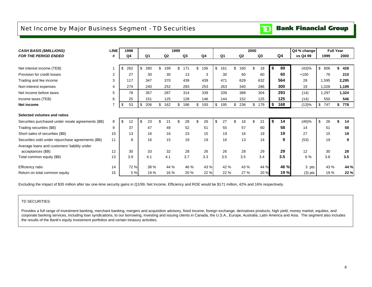### <span id="page-9-0"></span>Net Income by Major Business Segment - TD Securities

#### **Bank Financial Group**  $\mathbf{D}$

|                                                    | <b>LINE</b> | 1998      |           |                | 1999           |           |                |                | 2000      |           |             |                                 | <b>Full Year</b> |
|----------------------------------------------------|-------------|-----------|-----------|----------------|----------------|-----------|----------------|----------------|-----------|-----------|-------------|---------------------------------|------------------|
| <b>CASH BASIS (\$MILLIONS)</b>                     |             |           |           |                |                |           |                |                |           |           | Q4 % change |                                 |                  |
| <b>FOR THE PERIOD ENDED</b>                        | #           | Q4        | Q1        | Q <sub>2</sub> | Q <sub>3</sub> | Q4        | Q <sub>1</sub> | Q <sub>2</sub> | Q3        | Q4        | vs Q4 99    | 1999                            | 2000             |
|                                                    |             |           |           |                |                |           |                |                |           |           |             |                                 |                  |
| Net interest income (TEB)                          |             | \$<br>262 | \$<br>280 | \$<br>199      | \$.<br>171     | \$<br>156 | \$<br>161      | \$<br>160      | \$<br>18  | 89<br>\$  | (43)%       | \$806                           | \$<br>428        |
| Provision for credit losses                        | 2           | 27        | 30        | 30             | 13             | 3         | 30             | 60             | 60        | 60        | $+100$      | 76                              | 210              |
| Trading and fee income                             | 3           | 117       | 347       | 370            | 439            | 439       | 471            | 628            | 632       | 564       | 28          | 1,595                           | 2,295            |
| Non-interest expenses                              |             | 274       | 240       | 252            | 283            | 253       | 263            | 340            | 286       | 300       | 19          | 1,028                           | 1,189            |
| Net income before taxes                            | 5           | 78        | 357       | 287            | 314            | 339       | 339            | 388            | 304       | 293       | (14)        | 1,297                           | 1,324            |
| Income taxes (TEB)                                 | 6           | 25        | 151       | 125            | 128            | 146       | 144            | 152            | 125       | 125       | (14)        | 550                             | 546              |
| Net income                                         |             | \$<br>53  | \$<br>206 | \$<br>162      | 186<br>\$      | 193<br>\$ | \$<br>195      | \$<br>236      | \$<br>179 | \$<br>168 | (13)%       | \$<br>747                       | 778<br>\$        |
| Selected volumes and ratios                        |             |           |           |                |                |           |                |                |           |           |             |                                 |                  |
| Securities purchased under resale agreements (\$B) | 8           | \$<br>12  | \$<br>23  | 21<br>\$       | 28             | \$<br>26  | \$<br>27       | 16             | \$<br>21  | \$<br>14  | (46)%       | $\boldsymbol{\mathsf{S}}$<br>26 | 14               |
| Trading securities (\$B)                           | 9           | 37        | 47        | 48             | 52             | 51        | 55             | 57             | 60        | 58        | 14          | 51                              | 58               |
| Short sales of securities (\$B)                    | 10          | 13        | 16        | 16             | 23             | 15        | 19             | 16             | 19        | 19        | 27          | 15                              | 19               |
| Securities sold under repurchase agreements (\$B)  | 11          | 8         | 16        | 15             | 19             | 19        | 16             | 13             | 14        | 9         | (53)        | 19                              | 9                |
| Average loans and customers' liability under       |             |           |           |                |                |           |                |                |           |           |             |                                 |                  |
| acceptances (\$B)                                  | 12          | 30        | 33        | 32             | 28             | 26        | 26             | 28             | 29        | 29        | 12          | 30                              | 28               |
| Total common equity (\$B)                          | 13          | 3.9       | 4.1       | 4.1            | 3.7            | 3.3       | 3.5            | 3.5            | 3.4       | 3.5       | 6 %         | 3.8                             | 3.5              |
| Efficiency ratio                                   | 14          | 72 %      | 38 %      | 44 %           | 46 %           | 43 %      | 42 %           | 43 %           | 44 %      | 46 %      | 3 pts       | 43 %                            | 44 %             |
| Return on total common equity                      | 15          | 5 %       | 19 %      | 16 %           | 20 %           | 22 %      | 22 %           | 27 %           | 20 %      | 19 %      | $(3)$ pts   | 19 %                            | 22 %             |

Excluding the impact of \$35 million after tax one-time security gains in Q1/99, Net Income, Efficiency and ROE would be \$171 million, 42% and 16% respectively.

#### TD SECURITIES:

Provides a full range of investment banking, merchant banking, mergers and acquisition advisory, fixed income, foreign exchange, derivatives products, high yield, money market, equities, and corporate banking services, including loan syndications, to our borrowing, investing and issuing clients in Canada, the U.S.A., Europe, Australia, Latin America and Asia. The segment also includes the results of the Bank's equity investment portfolios and certain treasury activities.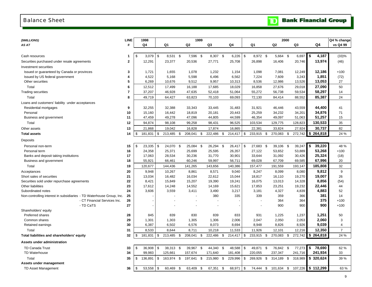#### <span id="page-10-0"></span>Balance Sheet

|  | <b>TD</b> Bank Financial Group |  |
|--|--------------------------------|--|
|--|--------------------------------|--|

| (\$MILLIONS)                                                         | LINE                     |     | 1998             |                           |                  |      |                  | 1999 |                   |      |                   |                            |      |                      | 2000 |                   |                       | Q4 % change    |
|----------------------------------------------------------------------|--------------------------|-----|------------------|---------------------------|------------------|------|------------------|------|-------------------|------|-------------------|----------------------------|------|----------------------|------|-------------------|-----------------------|----------------|
| AS AT                                                                | #                        |     | Q <sub>4</sub>   |                           | Q1               |      | Q2               |      | Q3                |      | Q4                | Q1                         |      | Q2                   |      | Q3                | Q4                    | vs Q4 99       |
|                                                                      |                          |     |                  |                           |                  |      |                  |      |                   |      |                   |                            |      |                      |      |                   |                       |                |
| Cash resources                                                       | 1                        | \$  | 3,079            | $\boldsymbol{\mathsf{S}}$ | 8,531 \$         |      | 7,596 \$         |      | 8,307 \$          |      | 6,226             | \$<br>8,972 \$             |      | 5,664 \$             |      | 6,697             | \$<br>4,187           | (33)%          |
| Securities purchased under resale agreements                         | $\overline{2}$           |     | 12,291           |                           | 23,377           |      | 20,536           |      | 27,771            |      | 25,708            | 26,898                     |      | 16,406               |      | 20,746            | 13,974                | (46)           |
| Investment securities                                                |                          |     |                  |                           |                  |      |                  |      |                   |      |                   |                            |      |                      |      |                   |                       |                |
| Issued or guaranteed by Canada or provinces                          | 3                        |     | 1,721            |                           | 1,655            |      | 1,078            |      | 1,232             |      | 1,154             | 1,098                      |      | 7,081                |      | 12,249            | 12,186                | $+100$         |
| Issued by US federal government                                      | 4                        |     | 4,522            |                           | 5,168            |      | 5,598            |      | 6,496             |      | 6,562             | 7,224                      |      | 7,609                |      | 3,243             | 1,851                 | (72)           |
| Other securities                                                     | 5                        |     | 6,269            |                           | 10,676           |      | 9,512            |      | 9,957             |      | 10,313            | 8,536                      |      | 12,986               |      | 13,526            | 13,053                | 27             |
| Total                                                                | 6                        |     | 12,512           |                           | 17,499           |      | 16,188           |      | 17,685            |      | 18,029            | 16,858                     |      | 27,676               |      | 29,018            | 27,090                | 50             |
| <b>Trading securities</b>                                            | $\overline{\phantom{a}}$ |     | 37,207           |                           | 46,928           |      | 47,635           |      | 52,418            |      | 51,064            | 55,272                     |      | 56,738               |      | 59,534            | 58,297                | 14             |
| Total                                                                | 8                        |     | 49,719           |                           | 64,427           |      | 63,823           |      | 70,103            |      | 69,093            | 72,130                     |      | 84,414               |      | 88,552            | 85,387                | 24             |
| Loans and customers' liability under acceptances                     |                          |     |                  |                           |                  |      |                  |      |                   |      |                   |                            |      |                      |      |                   |                       |                |
| Residential mortgages                                                | 9                        |     | 32,255           |                           | 32,388           |      | 33,343           |      | 33,445            |      | 31,483            | 31,921                     |      | 46,446               |      | 43,559            | 44,400                | 41             |
| Personal                                                             | 10                       |     | 15,160           |                           | 16,442           |      | 18,819           |      | 20,181            |      | 20,443            | 25,259                     |      | 34,232               |      | 34,201            | 34,876                | 71             |
| Business and government                                              | 11                       |     | 47,459           |                           | 49,278           |      | 47,096           |      | 44,805            |      | 44,599            | 46,354                     |      | 49,097               |      | 51,063            | 51,257                | 15             |
| Total                                                                | 12                       |     | 94,874           |                           | 98,108           |      | 99,258           |      | 98,431            |      | 96,525            | 103,534                    |      | 129,775              |      | 128,823           | 130,533               | 35             |
| Other assets                                                         | 13                       |     | 21,868           |                           | 19,042           |      | 16,828           |      | 17,874            |      | 16,865            | 22,381                     |      | 33,824               |      | 27,924            | 30,737                | 82             |
| <b>Total assets</b>                                                  | 14                       | \$. | 181,831          | $\boldsymbol{\mathsf{S}}$ | 213,485          | \$   | 208,041          | \$   | 222,486           | \$   | 214,417           | \$<br>233,915              | \$   | 270,083              | \$   | 272,742           | \$<br>264,818         | 24 %           |
| Deposits                                                             |                          |     |                  |                           |                  |      |                  |      |                   |      |                   |                            |      |                      |      |                   |                       |                |
| Personal non-term                                                    | 15                       | \$  | 23,335           | \$                        | 24,070           | \$   | 25,084           | \$   | 26,294            | - \$ | 26,417            | \$<br>27,683 \$            |      | 39,106               | -\$  | 39,247            | \$<br>39,220          | 48 %           |
| Personal term                                                        | 16                       |     | 24,358           |                           | 25,371           |      | 25,699           |      | 25,595            |      | 26,357            | 27,122                     |      | 53,652               |      | 53,889            | 53,268                | $+100$         |
| Banks and deposit taking institutions                                | 17                       |     | 17,063           |                           | 28,534           |      | 30,236           |      | 31,770            |      | 30,901            | 33,644                     |      | 31,092               |      | 30,426            | 25,324                | (18)           |
| Business and government                                              | 18                       |     | 55,921           |                           | 66,461           |      | 60,246           |      | 59,997            |      | 56,711            | 69,028                     |      | 67,709               |      | 69,585            | 67,996                | 20             |
| Total                                                                | 19                       |     | 120,677          |                           | 144,436          |      | 141,265          |      | 143,656           |      | 140,386           | 157,477                    |      | 191,559              |      | 193,147           | 185,808               | 32             |
| Acceptances                                                          | 20                       |     | 9,948            |                           | 10,267           |      | 8,861            |      | 8,571             |      | 9,040             | 8,247                      |      | 8,099                |      | 8,080             | 9,812                 | 9              |
| Short sales of securities                                            | 21                       |     | 13,034           |                           | 16,482           |      | 16,034           |      | 22,612            |      | 15,044            | 18,817                     |      | 16,110               |      | 19,270            | 19,007                | 26             |
| Securities sold under repurchase agreements                          | 22                       |     | 8,421            |                           | 15,849           |      | 15,207           |      | 19,390            |      | 19,241            | 16,075                     |      | 13,013               |      | 14,328            | 8,856                 | (54)           |
| Other liabilities                                                    | 23                       |     | 17,612           |                           | 14,248           |      | 14,552           |      | 14,169            |      | 15,621            | 17,853                     |      | 23,251               |      | 19,232            | 22,446                | 44             |
| Subordinated notes                                                   | 24                       |     | 3,606            |                           | 3,559            |      | 3,411            |      | 3,490             |      | 3,217             | 3,181                      |      | 4,327                |      | 4,839             | 4,883                 | 52             |
| Non-controlling interest in subsidiaries - TD Waterhouse Group, Inc. | 25                       |     |                  |                           |                  |      |                  |      | 380               |      | 335               | 339                        |      | 359                  |      | 366               | 381                   | 14             |
| - CT Financial Services Inc.                                         | 26                       |     |                  |                           |                  |      |                  |      |                   |      |                   |                            |      | 364                  |      | 364               | 375                   | $+100$         |
| - TD CaTS                                                            | 27                       |     |                  |                           |                  |      |                  |      |                   |      |                   |                            |      | 900                  |      | 900               | 900                   | $+100$         |
| Shareholders' equity                                                 |                          |     |                  |                           |                  |      |                  |      |                   |      |                   |                            |      |                      |      |                   |                       |                |
| Preferred shares<br>Common shares                                    | 28                       |     | 845              |                           | 839              |      | 830              |      | 839               |      | 833               | 931                        |      | 1,225                |      | 1,237             | 1,251<br>2,060        | 50<br>3        |
| Retained earnings                                                    | 29<br>30                 |     | 1,301<br>6,387   |                           | 1,303<br>6,502   |      | 1,305<br>6,576   |      | 1,306<br>8,073    |      | 2,006<br>8,694    | 2,047<br>8,948             |      | 2,050<br>8,826       |      | 2,053<br>8,926    | 9,039                 | $\overline{4}$ |
|                                                                      |                          |     |                  |                           |                  |      |                  |      |                   |      |                   |                            |      |                      |      |                   |                       | $\overline{7}$ |
| Total<br>Total liabilities and shareholders' equity                  | 31<br>32                 | \$  | 8,533<br>181,831 | \$                        | 8.644<br>213,485 | - \$ | 8,711<br>208,041 | \$   | 10,218<br>222,486 | \$   | 11,533<br>214,417 | \$<br>11,926<br>233,915 \$ |      | 12,101<br>270,083 \$ |      | 12,216<br>272,742 | 12,350<br>\$264,818   | 24 %           |
| Assets under administration                                          |                          |     |                  |                           |                  |      |                  |      |                   |      |                   |                            |      |                      |      |                   |                       |                |
|                                                                      |                          |     |                  |                           |                  |      |                  |      |                   |      |                   |                            |      |                      |      |                   |                       |                |
| TD Canada Trust                                                      | 33                       | \$  | 36,908           | \$                        | 38,313 \$        |      | 39,967           | - \$ | 44,340 \$         |      | 48,588            | \$<br>49,871 \$            |      | 76,842 \$            |      | 77,273            | \$<br>78,690          | 62 %           |
| TD Waterhouse                                                        | 34                       |     | 99,983           |                           | 125,661          |      | 157,674          |      | 171,640           |      | 181,408           | 220,055                    |      | 237,347              |      | 241,716           | 241,934               | 33             |
| Total                                                                | 35                       | \$  | 136,891          | \$                        | 163,974          | \$   | 197,641          | \$   | 215,980 \$        |      | 229,996           | \$<br>269,926 \$           |      | 314,189              | - \$ | 318,989           | \$320,624             | 39 %           |
| Assets under management                                              |                          |     |                  |                           |                  |      |                  |      |                   |      |                   |                            |      |                      |      |                   |                       |                |
| TD Asset Management                                                  | 36                       | \$  | 53,558           | \$                        | 60,469           | -\$  | 63,409           | \$   | 67,351            | \$   | 68,971            | \$<br>74,444               | - \$ | 101,634 \$           |      | 107,226           | $\frac{1}{2}$ 112,299 | 63 %           |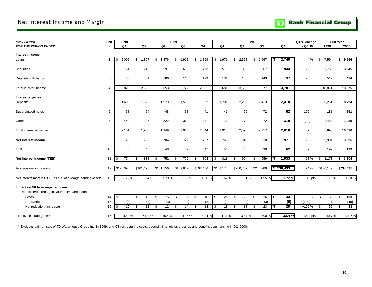### <span id="page-11-0"></span>Net Interest Income and Margin

|  |  | <b>Bank Financial Group</b> |  |
|--|--|-----------------------------|--|
|--|--|-----------------------------|--|

| (\$MILLIONS)                                                                         | <b>LINE</b>    | 1998        |                     |           | 1999           |                     |             |                |    |           | 2000        |            |           | Q4 % change |                   | <b>Full Year</b> |
|--------------------------------------------------------------------------------------|----------------|-------------|---------------------|-----------|----------------|---------------------|-------------|----------------|----|-----------|-------------|------------|-----------|-------------|-------------------|------------------|
| <b>FOR THE PERIOD ENDED</b>                                                          | #              | Q4          | Q1                  |           | Q <sub>2</sub> | Q3                  | Q4          | Q <sub>1</sub> |    | Q2        | Q3          |            | Q4        | vs Q4 99    | 1999              | 2000             |
| Interest income                                                                      |                |             |                     |           |                |                     |             |                |    |           |             |            |           |             |                   |                  |
| Loans                                                                                | 1              | 2,005<br>\$ | 1,897<br>\$         | \$        | 1,876          | \$<br>1,922         | 1,899<br>\$ | \$<br>1,971    | \$ | 2,578     | 2,667<br>\$ | \$         | 2,740     | 44 %        | \$<br>7,594       | 9,956<br>\$      |
| Securities                                                                           | $\overline{2}$ | 751         | 715                 |           | 591            | 689                 | 773         | 579            |    | 855       | 867         |            | 944       | 22          | 2,768             | 3,245            |
| Deposits with banks                                                                  | 3              | 73          | 81                  |           | 186            | 116                 | 129         | 131            |    | 103       | 143         |            | 97        | (25)        | 512               | 474              |
| Total interest income                                                                | 4              | 2,829       | 2,693               |           | 2,653          | 2,727               | 2,801       | 2,681          |    | 3,536     | 3,677       |            | 3,781     | 35          | 10,874            | 13,675           |
| Interest expense                                                                     |                |             |                     |           |                |                     |             |                |    |           |             |            |           |             |                   |                  |
| Deposits                                                                             | 5              | 1,600       | 1,520               |           | 1,579          | 1,593               | 1,562       | 1,701          |    | 2,262     | 2,413       |            | 2,418     | 55          | 6,254             | 8,794            |
| Subordinated notes                                                                   | 6              | 58          | 54                  |           | 48             | 38                  | 41          | 41             |    | 56        | 72          |            | 82        | 100         | 181               | 251              |
| Other                                                                                | $\overline{7}$ | 443         | 326                 |           | 322            | 369                 | 441         | 171            |    | 272       | 272         |            | 310       | (30)        | 1,458             | 1,025            |
| Total interest expense                                                               | 8              | 2,101       | 1,900               |           | 1,949          | 2,000               | 2,044       | 1,913          |    | 2,590     | 2,757       |            | 2,810     | 37          | 7,893             | 10,070           |
| Net interest income                                                                  | 9              | 728         | 793                 |           | 704            | 727                 | 757         | 768            |    | 946       | 920         |            | 971       | 28          | 2,981             | 3,605            |
| TEB                                                                                  | 10             | 46          | 45                  |           | 48             | 52                  | 47          | 50             |    | 48        | 39          |            | 62        | 32          | 192               | 199              |
| Net interest income (TEB)                                                            | 11             | 774<br>\$   | 838<br>\$           | \$        | 752            | \$<br>779           | \$<br>804   | \$<br>818      | \$ | 994       | 959<br>\$   | \$         | 1,033     | 28 %        | \$<br>3,173       | 3,804<br>\$      |
| Average earning assets                                                               | 12             | \$178,398   | \$181,123           | \$181,156 |                | \$189,687           | \$192,456   | \$201,178      |    | \$250,789 | \$245,989   |            | \$238,493 | 24 %        | \$186,147         | \$234,021        |
| Net interest margin (TEB) as a % of average earning assets                           | 13             | 1.72%       | 1.84 %              |           | 1.70%          | 1.63%               | 1.66 %      | 1.62 %         |    | 1.61 %    | 1.55 %      |            | 1.72%     | $.06$ pts   | 1.70%             | 1.63%            |
| Impact on NII from impaired loans<br>Reduction/(increase) in NII from impaired loans |                |             |                     |           |                |                     |             |                |    |           |             |            |           |             |                   |                  |
| Gross                                                                                | 14             | \$<br>16    | 15<br>$\sqrt{3}$    | \$        | 15             | \$<br>17            | \$<br>16    | \$<br>21       | \$ | 22        | \$<br>26    | $\sqrt{2}$ | 34        | +100 %      | \$<br>63          | \$<br>103        |
| Recoveries                                                                           | 15             | (4)         | (3)                 |           | (3)            | (3)                 | (2)         | (3)            |    | (4)       | (3)         |            | (5)       | $+(100)$    | (11)              | (15)             |
| Net reduction/(increase)                                                             | 16             | \$<br>12    | $\mathfrak s$<br>12 | \$        | 12             | $\mathfrak s$<br>14 | \$<br>14    | 18<br>\$       | -S | 18        | 23<br>\$    | \$         | 29        | +100 %      | $\mathbb S$<br>52 | \$<br>88         |
| Effective tax rate (TEB)*                                                            | 17             | 32.3%       | 41.0%               |           | 40.4%          | 41.6%               | 40.4%       | 41.1%          |    | 39.7%     | 36.0 %      |            | 38.4%     | $(2.0)$ pts | 40.7%             | 38.7%            |

\* Excludes gain on sale of TD Waterhouse Group Inc. in 1999, and CT restructuring costs, goodwill, intangibles gross-up and benefits commencing in Q2, 2000.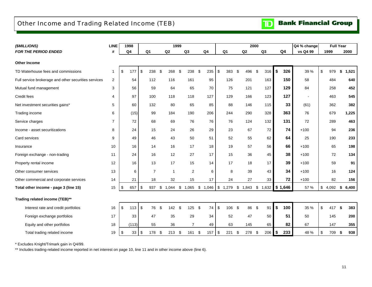### <span id="page-12-0"></span>Other Income and Trading Related Income (TEB)

| (\$MILLIONS)                                         | LINE           | 1998      |                |     | 1999         |                |             |            |                |                | 2000 |                  |           | Q4 % change | <b>Full Year</b> |     |       |
|------------------------------------------------------|----------------|-----------|----------------|-----|--------------|----------------|-------------|------------|----------------|----------------|------|------------------|-----------|-------------|------------------|-----|-------|
| <b>FOR THE PERIOD ENDED</b>                          | #              | Q4        | Q <sub>1</sub> |     | Q2           | Q3             | Q4          |            | Q <sub>1</sub> | Q <sub>2</sub> |      | Q <sub>3</sub>   | Q4        | vs Q4 99    | 1999             |     | 2000  |
| <b>Other Income</b>                                  |                |           |                |     |              |                |             |            |                |                |      |                  |           |             |                  |     |       |
| TD Waterhouse fees and commissions                   | $\mathbf 1$    | \$<br>177 | \$<br>238      | -\$ | 268          | \$<br>238      | \$<br>235   | \$         | 383            | \$<br>496      | \$   | 316              | \$<br>326 | 39 %        | \$<br>979        | \$  | 1,521 |
| Full service brokerage and other securities services | $\overline{2}$ | 54        | 112            |     | 116          | 161            | 95          |            | 126            | 201            |      | 163              | 150       | 58          | 484              |     | 640   |
| Mutual fund management                               | 3              | 56        | 59             |     | 64           | 65             | 70          |            | 75             | 121            |      | 127              | 129       | 84          | 258              |     | 452   |
| Credit fees                                          | 4              | 97        | 100            |     | 118          | 118            | 127         |            | 129            | 166            |      | 123              | 127       |             | 463              |     | 545   |
| Net investment securities gains*                     | 5              | 60        | 132            |     | 80           | 65             | 85          |            | 88             | 146            |      | 115              | 33        | (61)        | 362              |     | 382   |
| Trading income                                       | 6              | (15)      | 99             |     | 184          | 190            | 206         |            | 244            | 290            |      | 328              | 363       | 76          | 679              |     | 1,225 |
| Service charges                                      | $\overline{7}$ | 72        | 68             |     | 69           | 76             | 76          |            | 76             | 124            |      | 132              | 131       | 72          | 289              |     | 463   |
| Income - asset securitizations                       | 8              | 24        | 15             |     | 24           | 26             | 29          |            | 23             | 67             |      | 72               | 74        | $+100$      | 94               |     | 236   |
| Card services                                        | 9              | 49        | 46             |     | 43           | 50             | 51          |            | 52             | 55             |      | 62               | 64        | 25          | 190              |     | 233   |
| Insurance                                            | 10             | 16        | 14             |     | 16           | 17             | 18          |            | 19             | 57             |      | 56               | 66        | $+100$      | 65               |     | 198   |
| Foreign exchange - non-trading                       | 11             | 24        | 16             |     | 12           | 27             | 17          |            | 15             | 36             |      | 45               | 38        | $+100$      | 72               |     | 134   |
| Property rental income                               | 12             | 16        | 13             |     | 17           | 15             | 14          |            | 17             | 18             |      | 17               | 39        | $+100$      | 59               |     | 91    |
| Other consumer services                              | 13             | 6         | $\overline{7}$ |     | $\mathbf{1}$ | $\overline{2}$ | 6           |            | 8              | 39             |      | 43               | 34        | $+100$      | 16               |     | 124   |
| Other commercial and corporate services              | 14             | 21        | 18             |     | 32           | 15             | 17          |            | 24             | 27             |      | 33               | 72        | $+100$      | 82               |     | 156   |
| Total other income - page 3 (line 15)                | 15             | \$<br>657 | \$<br>937      | \$  | 1,044        | \$<br>1,065    | \$<br>1,046 | $\sqrt{3}$ | 1,279          | \$<br>1,843    | \$   | $1,632$ \$ 1,646 |           | 57 %        | \$<br>4,092      | \$  | 6,400 |
| Trading related income (TEB)**                       |                |           |                |     |              |                |             |            |                |                |      |                  |           |             |                  |     |       |
| Interest rate and credit portfolios                  | 16             | \$<br>113 | \$<br>76       | -\$ | 142          | \$<br>125      | \$<br>74    | \$         | 106            | \$<br>86       | \$   | 91               | \$<br>100 | 35 %        | \$<br>417        | -\$ | 383   |
| Foreign exchange portfolios                          | 17             | 33        | 47             |     | 35           | 29             | 34          |            | 52             | 47             |      | 50               | 51        | 50          | 145              |     | 200   |
| Equity and other portfolios                          | 18             | (113)     | 55             |     | 36           | $\overline{7}$ | 49          |            | 63             | 145            |      | 65               | 82        | 67          | 147              |     | 355   |
| Total trading related income                         | 19             | \$<br>33  | \$<br>178      | -\$ | 213          | \$<br>161      | \$<br>157   | -\$        | 221            | \$<br>278      | \$   | 206              | \$<br>233 | 48 %        | \$<br>709        | -\$ | 938   |

\* Excludes Knight/Trimark gain in Q4/99.

\*\* Includes trading-related income reported in net interest on page 10, line 11 and in other income above (line 6).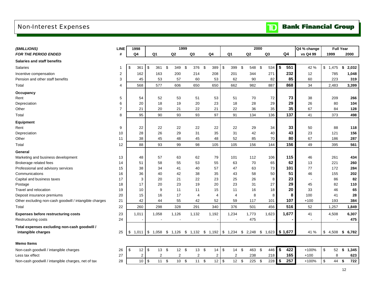### <span id="page-13-0"></span>Non-Interest Expenses

**Bank Financial Group**  $\mathbf{D}$ 

| (\$MILLIONS)                                           | <b>LINE</b> | 1998           |                |              |       | 1999         |                                                       |                |                |                | 2000 |                |              |                | Q4 % change    |             | <b>Full Year</b> |
|--------------------------------------------------------|-------------|----------------|----------------|--------------|-------|--------------|-------------------------------------------------------|----------------|----------------|----------------|------|----------------|--------------|----------------|----------------|-------------|------------------|
| <b>FOR THE PERIOD ENDED</b>                            | #           | Q <sub>4</sub> | Q <sub>1</sub> |              | Q2    |              | Q <sub>3</sub>                                        | Q <sub>4</sub> | Q <sub>1</sub> | Q <sub>2</sub> |      | Q <sub>3</sub> |              | Q <sub>4</sub> | vs Q4 99       | 1999        | 2000             |
| <b>Salaries and staff benefits</b>                     |             |                |                |              |       |              |                                                       |                |                |                |      |                |              |                |                |             |                  |
| <b>Salaries</b>                                        | 1           | \$<br>361      | -\$            | 361          | -\$   | 349 \$       | 376                                                   | \$<br>389      | \$<br>399      | - \$<br>548    | \$   | 534            | $\mathbf{s}$ | 551            | 42 %           | \$1,475     | \$<br>2,032      |
| Incentive compensation                                 | 2           | 162            |                | 163          |       | 200          | 214                                                   | 208            | 201            | 344            |      | 271            |              | 232            | 12             | 785         | 1,048            |
| Pension and other staff benefits                       | 3           | 45             |                | 53           |       | 57           | 60                                                    | 53             | 62             | 90             |      | 82             |              | 85             | 60             | 223         | 319              |
| Total                                                  | 4           | 568            |                | 577          |       | 606          | 650                                                   | 650            | 662            | 982            |      | 887            |              | 868            | 34             | 2,483       | 3,399            |
| Occupancy                                              |             |                |                |              |       |              |                                                       |                |                |                |      |                |              |                |                |             |                  |
| Rent                                                   | 5           | 54             |                | 52           |       | 53           | 51                                                    | 53             | 51             | 70             |      | 72             |              | 73             | 38             | 209         | 266              |
| Depreciation                                           | 6           | 20             |                | 18           |       | 19           | 20                                                    | 23             | 18             | 28             |      | 29             |              | 29             | 26             | 80          | 104              |
| Other                                                  | 7           | 21             |                | 20           |       | 21           | 22                                                    | 21             | 22             | 36             |      | 35             |              | 35             | 67             | 84          | 128              |
| Total                                                  | 8           | 95             |                | 90           |       | 93           | 93                                                    | 97             | 91             | 134            |      | 136            |              | 137            | 41             | 373         | 498              |
| Equipment                                              |             |                |                |              |       |              |                                                       |                |                |                |      |                |              |                |                |             |                  |
| Rent                                                   | 9           | 22             |                | 22           |       | 22           | 22                                                    | 22             | 22             | 29             |      | 34             |              | 33             | 50             | 88          | 118              |
| Depreciation                                           | 10          | 28             |                | 26           |       | 29           | 31                                                    | 35             | 31             | 42             |      | 40             |              | 43             | 23             | 121         | 156              |
| Other                                                  | 11          | 38             |                | 45           |       | 48           | 45                                                    | 48             | 52             | 85             |      | 70             |              | 80             | 67             | 186         | 287              |
| Total                                                  | 12          | 88             |                | 93           |       | 99           | 98                                                    | 105            | 105            | 156            |      | 144            |              | 156            | 49             | 395         | 561              |
| General                                                |             |                |                |              |       |              |                                                       |                |                |                |      |                |              |                |                |             |                  |
| Marketing and business development                     | 13          | 48             |                | 57           |       | 63           | 62                                                    | 79             | 101            | 112            |      | 106            |              | 115            | 46             | 261         | 434              |
| Brokerage related fees                                 | 14          | 51             |                | 58           |       | 55           | 53                                                    | 55             | 63             | 70             |      | 65             |              | 62             | 13             | 221         | 260              |
| Professional and advisory services                     | 15          | 38             |                | 34           |       | 41           | 40                                                    | 57             | 47             | 63             |      | 73             |              | 101            | 77             | 172         | 284              |
| Communications                                         | 16          | 36             |                | 40           |       | 42           | 38                                                    | 35             | 43             | 58             |      | 50             |              | 51             | 46             | 155         | 202              |
| Capital and business taxes                             | 17          | 3              |                | 20           |       | 21           | 22                                                    | 23             | 25             | 26             |      | 8              |              | 23             | $\blacksquare$ | 86          | 82               |
| Postage                                                | 18          | 17             |                | 20           |       | 23           | 19                                                    | 20             | 23             | 31             |      | 27             |              | 29             | 45             | 82          | 110              |
| Travel and relocation                                  | 19          | 10             |                | 9            |       | 11           | 11                                                    | 15             | 11             | 16             |      | 18             |              | 20             | 33             | 46          | 65               |
| Deposit insurance premiums                             | 20          | 15             |                | 16           |       | 17           | $\overline{4}$                                        | $\overline{4}$ | 4              | 8              |      | 8              |              | 8              | 100            | 41          | 28               |
| Other excluding non-cash goodwill / intangible charges | 21          | 42             |                | 44           |       | 55           | 42                                                    | 52             | 59             | 117            |      | 101            |              | 107            | $+100$         | 193         | 384              |
| Total                                                  | 22          | 260            |                | 298          |       | 328          | 291                                                   | 340            | 376            | 501            |      | 456            |              | 516            | 52             | 1,257       | 1,849            |
| <b>Expenses before restructuring costs</b>             | 23          | 1,011          |                | 1,058        | 1,126 |              | 1,132                                                 | 1,192          | 1,234          | 1,773          |      | 1,623          |              | 1,677          | 41             | 4,508       | 6,307            |
| Restructuring costs                                    | 24          |                |                |              |       |              |                                                       |                |                | 475            |      |                |              |                |                |             | 475              |
| Total expenses excluding non-cash goodwill /           |             |                |                |              |       |              |                                                       |                |                |                |      |                |              |                |                |             |                  |
| intangible charges                                     | 25          | \$<br>1,011    |                |              |       |              | $$1,058$ $$1,126$ $$1,132$ $$1,192$ $$1,234$ $$2,248$ |                |                |                | \$   | 1,623          |              | \$1,677        | 41 %           | \$<br>4,508 | 6,782<br>\$      |
| <b>Memo Items</b>                                      |             |                |                |              |       |              |                                                       |                |                |                |      |                |              |                |                |             |                  |
| Non-cash goodwill / intangible charges                 | 26          | \$<br>12       | \$             | $13 \quad $$ |       | $12 \quad $$ | $13 \quad$ \$                                         | $14$ \ \$      | $14 \quad $$   | 463            | \$   | 446 \$         |              | 422            | $+100%$        | \$          | 52 \$ 1,345      |

Less tax effect 27 2 2 2 2 2 2 238 218 **165** +100 8 **623**

Non-cash goodwill / intangible charges, net of tax 28 10 \$ 11 \$ 10 \$ 11 \$ 12 \$ 12 \$ 225 \$ 228 **\$ 257** +100% \$ 44 **\$ 722**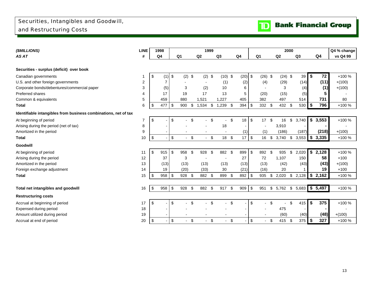### <span id="page-14-0"></span>Securities, Intangibles and Goodwill, and Restructuring Costs



| (\$MILLIONS)                                                    | <b>LINE</b>    |     | 1998 |               |        |                           | 1999          |                |           |           |     |                |                           |           | 2000 |                   |      |         | Q4 % change |
|-----------------------------------------------------------------|----------------|-----|------|---------------|--------|---------------------------|---------------|----------------|-----------|-----------|-----|----------------|---------------------------|-----------|------|-------------------|------|---------|-------------|
| AS AT                                                           | #              |     | Q4   |               | Q1     | Q2                        |               | Q <sub>3</sub> |           | Q4        |     | Q <sub>1</sub> |                           | Q2        |      | Q3                |      | Q4      | vs Q4 99    |
|                                                                 |                |     |      |               |        |                           |               |                |           |           |     |                |                           |           |      |                   |      |         |             |
| Securities - surplus (deficit) over book                        |                |     |      |               |        |                           |               |                |           |           |     |                |                           |           |      |                   |      |         |             |
| Canadian governments                                            |                | \$  | (1)  | \$            | (2)    | \$                        | $(2)$ \$      |                | $(10)$ \$ | $(20)$ \$ |     | (26)           | \$                        | $(24)$ \$ |      | 39                | \$   | 72      | +100 %      |
| U.S. and other foreign governments                              | $\overline{2}$ |     |      |               |        |                           |               | (1)            |           | (2)       |     | (4)            |                           | (29)      |      | (14)              |      | (11)    | $+(100)$    |
| Corporate bonds/debentures/commercial paper                     | 3              |     | (5)  |               | 3      |                           | (2)           | 10             |           | 6         |     |                |                           | 3         |      | (4)               |      | (1)     | $+(100)$    |
| Preferred shares                                                | $\overline{4}$ |     | 17   |               | 19     |                           | 17            | 13             |           | 5         |     | (20)           |                           | (15)      |      | (5)               |      | 5       |             |
| Common & equivalents                                            | 5              |     | 459  |               | 880    |                           | 1,521         | 1,227          |           | 405       |     | 382            |                           | 497       |      | 514               |      | 731     | 80          |
| <b>Total</b>                                                    | 6              | \$. | 477  | \$            | 900    | \$                        | 1,534         | \$<br>1,239    | -\$       | 394       | \$  | 332            | \$                        | 432       | \$   | 530               | \$   | 796     | +100 %      |
| Identifiable intangibles from business combinations, net of tax |                |     |      |               |        |                           |               |                |           |           |     |                |                           |           |      |                   |      |         |             |
| At beginning of period                                          | $\overline{7}$ | \$  |      | \$            |        | \$                        |               | \$             | \$        | 18        | \$  | 17             | \$                        | 16        | \$   | 3.740             |      | \$3,553 | +100 %      |
| Arising during the period (net of tax)                          | 8              |     |      |               |        |                           |               | 18             |           |           |     |                |                           | 3,910     |      |                   |      |         |             |
| Amortized in the period                                         | 9              |     |      |               |        |                           |               |                |           | (1)       |     | (1)            |                           | (186)     |      | (187)             |      | (218)   | $+(100)$    |
| <b>Total</b>                                                    | 10             | \$  |      | \$            | $\sim$ | \$                        | -\$<br>$\sim$ |                | 18 \$     | 17        | \$  | 16             | \$                        | 3,740     | \$   | 3,553             | \$   | 3,335   | +100 %      |
| Goodwill                                                        |                |     |      |               |        |                           |               |                |           |           |     |                |                           |           |      |                   |      |         |             |
| At beginning of period                                          | 11             | \$  | 915  | \$            | 958    | $\boldsymbol{\mathsf{S}}$ | 928<br>\$     | 882            | -\$       | 899       | \$  | 892            | \$                        | 935       | \$   | 2,020             | \$   | 2,128   | +100 %      |
| Arising during the period                                       | 12             |     | 37   |               | 3      |                           |               |                |           | 27        |     | 72             |                           | 1.107     |      | 150               |      | 58      | $+100$      |
| Amortized in the period                                         | 13             |     | (13) |               | (13)   |                           | (13)          | (13)           |           | (13)      |     | (13)           |                           | (42)      |      | (43)              |      | (43)    | $+(100)$    |
| Foreign exchange adjustment                                     | 14             |     | 19   |               | (20)   |                           | (33)          | 30             |           | (21)      |     | (16)           |                           | 20        |      |                   |      | 19      | $+100$      |
| <b>Total</b>                                                    | 15             | \$. | 958  | l \$          | 928    | \$                        | 882 \$        | 899            | - \$      | 892       | -\$ | 935            | \$                        | 2,020     | \$   | 2,128             | l \$ | 2,162   | +100 %      |
|                                                                 |                |     |      |               |        |                           |               |                |           |           |     |                |                           |           |      |                   |      |         |             |
| Total net intangibles and goodwill                              | 16             | \$  | 958  | $\sqrt[6]{3}$ | 928    | $\boldsymbol{\mathsf{S}}$ | 882<br>\$     | 917            | - \$      | 909       | \$  | 951            |                           | \$5,762   |      | $$5,683$ $$5,497$ |      |         | +100 %      |
| <b>Restructuring costs</b>                                      |                |     |      |               |        |                           |               |                |           |           |     |                |                           |           |      |                   |      |         |             |
| Accrual at beginning of period                                  | 17             | \$  |      | \$            |        | \$                        | \$            |                | \$        |           | \$  |                | \$                        |           | \$   | 415               | \$   | 375     | +100 %      |
| Expensed during period                                          | 18             |     |      |               |        |                           |               |                |           |           |     |                |                           | 475       |      |                   |      |         |             |
| Amount utilized during period                                   | 19             |     |      |               |        |                           |               |                |           |           |     |                |                           | (60)      |      | (40)              |      | (48)    | $+(100)$    |
| Accrual at end of period                                        | 20             | \$  |      | \$            | $\sim$ | \$                        | \$            |                | \$        |           | \$  |                | $\boldsymbol{\mathsf{S}}$ | 415 \$    |      | 375               | \$   | 327     | +100 %      |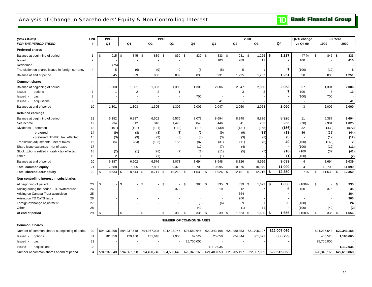#### <span id="page-15-0"></span>Analysis of Change in Shareholders' Equity & Non-Controlling Interest

| (\$MILLIONS)                                     | LINE           | 1998          |                          |                | 1999                     |                                |             |        |                | 2000         |             | Q4 % change    |             | <b>Full Year</b> |                |
|--------------------------------------------------|----------------|---------------|--------------------------|----------------|--------------------------|--------------------------------|-------------|--------|----------------|--------------|-------------|----------------|-------------|------------------|----------------|
| <b>FOR THE PERIOD ENDED</b>                      | #              | Q4            | Q <sub>1</sub>           | Q2             | Q3                       | Q4                             | Q1          |        | Q2             | Q3           | Q4          | vs Q4 99       | 1999        |                  | 2000           |
| <b>Preferred shares</b>                          |                |               |                          |                |                          |                                |             |        |                |              |             |                |             |                  |                |
| Balance at beginning of period                   | -1             | \$<br>915     | \$<br>845 \$             | 839 \$         | 830 \$                   | 839                            | \$          | 833 \$ | 931 \$         | 1,225        | 5<br>1,237  | 47 %           | \$          | 845 \$           | 833            |
| Issued                                           | $\overline{2}$ |               |                          |                |                          |                                |             | 103    | 289            | 11           | 7           | 100            |             |                  | 410            |
| Redeemed                                         | 3              | (75)          |                          |                |                          |                                |             |        |                |              |             |                |             |                  |                |
| Translation on shares issued in foreign currency | $\overline{4}$ | 5             | (6)                      | (9)            | 9                        | (6)                            |             | (5)    | 5              |              | 7           | (100)          |             | (12)             | 8              |
| Balance at end of period                         | 5              | 845           | 839                      | 830            | 839                      | 833                            |             | 931    | 1,225          | 1,237        | 1,251       | 50             |             | 833              | 1,251          |
| <b>Common shares</b>                             |                |               |                          |                |                          |                                |             |        |                |              |             |                |             |                  |                |
| Balance at beginning of period                   | 6              | 1,300         | 1,301                    | 1,303          | 1,305                    | 1,306                          |             | 2,006  | 2,047          | 2,050        | 2,053       | 57             |             | 1,301            | 2,006          |
| lssued -<br>options                              | $\overline{7}$ | -1            | $\overline{2}$           | $\overline{2}$ | $\overline{1}$           |                                |             |        | 3              | 3            | 7           | 100            |             | 5                | 13             |
| cash<br>lssued -                                 | 8              |               |                          |                |                          | 700                            |             |        |                |              |             | (100)          |             | 700              |                |
| ssued -<br>acquistions                           | 9              |               | $\overline{\phantom{a}}$ | $\blacksquare$ | $\overline{\phantom{a}}$ |                                |             | 41     |                |              |             | $\blacksquare$ |             |                  | 41             |
| Balance at end of period                         | 10             | 1,301         | 1,303                    | 1,305          | 1,306                    | 2,006                          |             | 2,047  | 2,050          | 2,053        | 2,060       | 3              |             | 2,006            | 2,060          |
| <b>Retained earnings</b>                         |                |               |                          |                |                          |                                |             |        |                |              |             |                |             |                  |                |
| Balance at beginning of period                   | 11             | 6,182         | 6,387                    | 6,502          | 6,576                    | 8,073                          |             | 8,694  | 8,948          | 8,826        | 8,926       | 11             |             | 6,387            | 8,694          |
| Net income                                       | 12             | 234           | 312                      | 348            | 1,473                    | 848                            |             | 446    | 41             | 283          | 255         | (70)           |             | 2,981            | 1,025          |
| Dividends - common                               | 13             | (101)         | (101)                    | (101)          | (113)                    | (118)                          |             | (130)  | (131)          | (155)        | (156)       | 32             |             | (433)            | (572)          |
| - preferred                                      | 14             | (9)           | (8)                      | (8)            | (8)                      | (7)                            |             | (9)    | (9)            | (13)         | (13)        | 86             |             | (31)             | (44)           |
| - preferred TDMIC tax effected                   | 15             | (3)           | (3)                      | (3)            | (3)                      | (3)                            |             | (3)    | (3)            | (3)          | (3)         |                |             | (12)             | (12)           |
| Translation adjustments - net of taxes           | 16             | 84            | (84)                     | (133)          | 155                      | (87)                           |             | (31)   | (11)           | (5)          | 49          | (100)          |             | (149)            | $\overline{2}$ |
| Share issue expenses - net of taxes              | 17             |               |                          |                |                          | (12)                           |             | (7)    | (4)            |              |             | (100)          |             | (12)             | (11)           |
| Stock options settled in cash - tax effected     | 18             | (2)           | (1)                      | (28)           | (7)                      | (1)                            |             | (11)   | (5)            | (7)          | (18)        | $+100$         |             | (37)             | (41)           |
| Other                                            | 19             | $\mathcal{P}$ | $\sim$                   | (1)            |                          | $\overline{1}$                 |             | (1)    |                |              | (1)         | (100)          |             | $\sim$           | (2)            |
| Balance at end of period                         | 20             | 6,387         | 6,502                    | 6,576          | 8,073                    | 8,694                          |             | 8,948  | 8,826          | 8,926        | 9,039       | $\overline{4}$ |             | 8,694            | 9,039          |
| <b>Total common equity</b>                       | 21             | 7,688         | 7,805                    | 7,881          | 9,379                    | 10,700                         |             | 10,995 | 10,876         | 10,979       | 11,099      | $\overline{4}$ |             | 10,700           | 11,099         |
| Total shareholders' equity                       | 22             | 8,533<br>-\$  | \$<br>8,644              | 8,711<br>-\$   | \$<br>10,218             | \$<br>11,533                   | \$          | 11,926 | 12,101<br>- \$ | \$<br>12,216 | 12,350<br>5 | 7 %            | \$          | 11,533<br>- \$   | 12,350         |
| Non-controlling interest in subsidiaries         |                |               |                          |                |                          |                                |             |        |                |              |             |                |             |                  |                |
| At beginning of period                           | 23             | \$            | \$                       | - \$           | $-$ \$                   | $-$ \$<br>380                  | \$          | 335 \$ | 339            | \$<br>1,623  | 1,630<br>5  | +100%          | \$          | -\$              | 335            |
| Arising during the period - TD Waterhouse        | 24             |               |                          |                | 372                      | 3                              |             | 10     | 12             |              | 6           | 100            |             | 375              | 35             |
| Arising on Canada Trust acquisition              | 25             |               |                          |                |                          |                                |             |        | 364            |              |             |                |             |                  | 364            |
| Arising on TD CaTS issue                         | 26             |               |                          |                |                          |                                |             |        | 900            |              |             |                |             |                  | 900            |
| Foreign exchange adjustment                      | 27             |               |                          |                | 8                        | (8)                            |             | (6)    | 9              |              | 20          | (100)          |             |                  | 24             |
| Other                                            | 28             |               |                          |                |                          | (40)                           |             |        | (1)            | (1)          |             | (100)          |             | (40)             | (2)            |
| At end of period                                 | 29             | \$            | \$                       | $-$ \$         | - \$<br>380 \$           | 335                            | \$          | 339 \$ | $1,623$ \$     | 1,630        | 5<br>1,656  | +100%          | \$          | $335$ \$         | 1,656          |
|                                                  |                |               |                          |                |                          | <b>NUMBER OF COMMON SHARES</b> |             |        |                |              |             |                |             |                  |                |
| Common Shares                                    |                |               |                          |                |                          |                                |             |        |                |              |             |                |             |                  |                |
| Number of common shares at beginning of period   | 30             | 594,136,298   | 594,237,648              | 594,367,098    | 594,498,746              | 594,580,646                    | 620,343,168 |        | 621,480,853    | 621,705,197  | 622,007,069 |                | 594,237,648 |                  | 620,343,168    |
| ssued -<br>options                               | 31             | 101,350       | 129,450                  | 131,648        | 81,900                   | 62,522                         |             | 25,650 | 224,344        | 301,872      | 608,799     |                |             | 405,520          | 1,160,665      |
| lssued -<br>cash                                 | 32             |               | $\sim$                   |                |                          | 25,700,000                     |             |        |                |              |             |                | 25,700,000  |                  |                |

Number of common shares at end of period 34 594,237,648 594,367,098 594,498,746 594,580,646 620,343,168 621,480,853 621,705,197 622,007,069 **622,615,868** 620,343,168 **622,615,868**

TD

14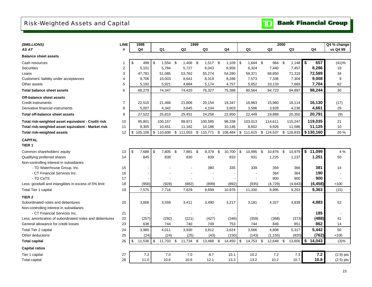## <span id="page-16-0"></span>Risk-Weighted Assets and Capital

| (\$MILLIONS)                                            | <b>LINE</b>    | 1998          |           |            |     | 1999           |      |            |     |                |                 |           | 2000 |                |              | Q4 % change |
|---------------------------------------------------------|----------------|---------------|-----------|------------|-----|----------------|------|------------|-----|----------------|-----------------|-----------|------|----------------|--------------|-------------|
| AS AT                                                   | #              | Q4            |           | Q1         |     | Q <sub>2</sub> |      | Q3         |     | Q <sub>4</sub> | Q1              | Q2        |      | Q <sub>3</sub> | Q4           | vs Q4 99    |
| <b>Balance sheet assets</b>                             |                |               |           |            |     |                |      |            |     |                |                 |           |      |                |              |             |
| Cash resources                                          | -1             | \$<br>499     | \$        | $1,554$ \$ |     | 1,406          | - \$ | $1,517$ \$ |     | 1,109          | \$<br>1,644 \$  | 964 \$    |      | 1,148          | \$<br>657    | (41)%       |
| Securities                                              | $\overline{c}$ | 5,101         |           | 5,784      |     | 5,727          |      | 6,043      |     | 6,956          | 6,324           | 7,440     |      | 7,457          | 8,286        | 19          |
| Loans                                                   | 3              | 47,781        |           | 51,085     |     | 53,762         |      | 55,274     |     | 54,280         | 59,371          | 68,850    |      | 71,319         | 72,589       | 34          |
| Customers' liability under acceptances                  | 4              | 9,706         |           | 10,003     |     | 8,641          |      | 8,319      |     | 8,286          | 7,573           | 7,336     |      | 7,304          | 9,008        | 9           |
| Other assets                                            | 5              | 5,192         |           | 5,921      |     | 4,884          |      | 5,174      |     | 4,757          | 5,652           | 10,133    |      | 7,669          | 7,704        | 62          |
| <b>Total balance sheet assets</b>                       | 6              | 68,279        |           | 74,347     |     | 74,420         |      | 76,327     |     | 75,388         | 80,564          | 94,723    |      | 94,897         | 98,244       | 30          |
| Off-balance sheet assets                                |                |               |           |            |     |                |      |            |     |                |                 |           |      |                |              |             |
| Credit instruments                                      | $\overline{7}$ | 22,515        |           | 21,468     |     | 21,806         |      | 20,154     |     | 19,347         | 18,863          | 15,960    |      | 16,114         | 16,130       | (17)        |
| Derivative financial instruments                        | 8              | 5,007         |           | 4,342      |     | 3,645          |      | 4,104      |     | 3,603          | 3,586           | 3,928     |      | 4,236          | 4,661        | 29          |
| <b>Total off-balance sheet assets</b>                   | 9              | 27,522        |           | 25,810     |     | 25,451         |      | 24,258     |     | 22,950         | 22,449          | 19,888    |      | 20,350         | 20,791       | (9)         |
| Total risk-weighted asset equivalent - Credit risk      | 10             | 95,801        |           | 100,157    |     | 99,871         |      | 100,585    |     | 98,338         | 103,013         | 114,611   |      | 115,247        | 119,035      | 21          |
| Total risk-weighted asset equivalent - Market risk      | 11             | 9,305         |           | 10,451     |     | 11,182         |      | 10,186     |     | 10,146         | 8,602           | 9,926     |      | 11,586         | 11,125       | 10          |
| <b>Total risk-weighted assets</b>                       | 12             | \$<br>105,106 | \$110,608 |            |     | \$111,053      |      | \$110,771  | \$  | 108,484        | \$111,615       | \$124,537 |      | \$126,833      | \$130,160    | 20 %        |
| <b>CAPITAL</b>                                          |                |               |           |            |     |                |      |            |     |                |                 |           |      |                |              |             |
| TIER <sub>1</sub>                                       |                |               |           |            |     |                |      |            |     |                |                 |           |      |                |              |             |
| Common shareholders' equity                             | 13             | \$<br>7,688   | \$        | 7,805      | -\$ | 7,881 \$       |      | 9,379 \$   |     | 10,700         | \$<br>10,995 \$ | 10,876    | - \$ | 10,979         | \$11,099     | 4 %         |
| Qualifying preferred shares                             | 14             | 845           |           | 839        |     | 830            |      | 839        |     | 833            | 931             | 1,225     |      | 1,237          | 1,251        | 50          |
| Non-controlling interest in subsidiaries                |                |               |           |            |     |                |      |            |     |                |                 |           |      |                |              |             |
| - TD Waterhouse Group, Inc.                             | 15             |               |           |            |     |                |      | 380        |     | 335            | 339             | 359       |      | 366            | 381          | 14          |
| - CT Financial Services Inc.                            | 16             |               |           |            |     |                |      |            |     |                |                 | 364       |      | 364            | 190          |             |
| - TD CaTS                                               | 17             |               |           |            |     |                |      |            |     |                |                 | 900       |      | 900            | 900          |             |
| Less: goodwill and intangibles in excess of 5% limit    | 18             | (958)         |           | (928)      |     | (882)          |      | (899)      |     | (892)          | (935)           | (4, 729)  |      | (4,643)        | (4, 458)     | $+100$      |
| Total Tier 1 capital                                    | 19             | 7,575         |           | 7,716      |     | 7,829          |      | 9,699      |     | 10,976         | 11,330          | 8,995     |      | 9,203          | 9,363        | (15)        |
| TIER <sub>2</sub>                                       |                |               |           |            |     |                |      |            |     |                |                 |           |      |                |              |             |
| Subordinated notes and debentures                       | 20             | 3,606         |           | 3,559      |     | 3,411          |      | 3,490      |     | 3,217          | 3,181           | 4,327     |      | 4,839          | 4,883        | 52          |
| Non-controlling interest in subsidiaries                |                |               |           |            |     |                |      |            |     |                |                 |           |      |                |              |             |
| - CT Financial Services Inc.                            | 21             |               |           |            |     |                |      |            |     |                |                 |           |      |                | 185          |             |
| Less: amortization of subordinated notes and debentures | 22             | (257)         |           | (292)      |     | (221)          |      | (427)      |     | (346)          | (359)           | (368)     |      | (373)          | (488)        | 41          |
| General allowance for credit losses                     | 23             | 636           |           | 744        |     | 740            |      | 749        |     | 753            | 744             | 849       |      | 851            | 862          | 14          |
| Total Tier 2 capital                                    | 24             | 3,985         |           | 4,011      |     | 3,930          |      | 3,812      |     | 3,624          | 3,566           | 4,808     |      | 5,317          | 5,442        | 50          |
| Other deductions                                        | 25             | (24)          |           | (24)       |     | (25)           |      | (43)       |     | (150)          | (143)           | (1, 155)  |      | (920)          | (762)        | $+100$      |
| <b>Total capital</b>                                    | 26             | \$<br>11,536  | \$        | 11,703     | \$  | 11,734 \$      |      | 13,468     | -\$ | 14,450         | \$<br>14,753 \$ | 12,648 \$ |      | 13,600         | \$<br>14,043 | (3)%        |
| <b>Capital ratios</b>                                   |                |               |           |            |     |                |      |            |     |                |                 |           |      |                |              |             |
| Tier 1 capital                                          | 27             | 7.2           |           | 7.0        |     | 7.0            |      | 8.7        |     | 10.1           | 10.2            | 7.2       |      | 7.3            | 7.2          | $(2.9)$ pts |
| Total capital                                           | 28             | 11.0          |           | 10.6       |     | 10.6           |      | 12.1       |     | 13.3           | 13.2            | 10.2      |      | 10.7           | 10.8         | $(2.5)$ pts |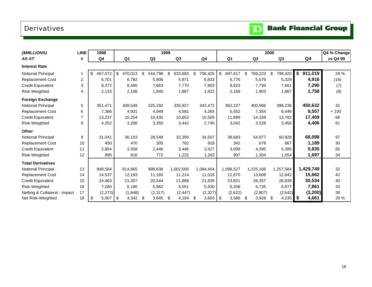## <span id="page-17-0"></span>Derivatives



| ( <i>SMILLIONS</i> )          | <b>LINE</b>    | 1998          |     |          |     |                | 1999 |                |               |                |                | 2000 |                |                | Q4 % Change |
|-------------------------------|----------------|---------------|-----|----------|-----|----------------|------|----------------|---------------|----------------|----------------|------|----------------|----------------|-------------|
| AS AT                         | #              | Q4            |     | Q1       |     | Q <sub>2</sub> |      | Q <sub>3</sub> | Q4            | Q <sub>1</sub> | Q <sub>2</sub> |      | Q <sub>3</sub> | Q <sub>4</sub> | vs Q4 99    |
| <b>Interest Rate</b>          |                |               |     |          |     |                |      |                |               |                |                |      |                |                |             |
| Notional Principal            |                | \$<br>467,072 | \$  | 470,013  | \$  | 544,798        | \$   | 633,683        | \$<br>706,425 | \$<br>697,617  | \$<br>769,223  | \$   | 798,420        | \$<br>911,019  | 29 %        |
| <b>Replacement Cost</b>       | $\overline{2}$ | 6,701         |     | 6,782    |     | 5,906          |      | 5,871          | 5,833         | 6,776          | 5,576          |      | 5,329          | 4,916          | (16)        |
| <b>Credit Equivalent</b>      | 3              | 8,372         |     | 8,495    |     | 7,663          |      | 7,770          | 7,803         | 8,823          | 7,793          |      | 7,661          | 7,290          | (7)         |
| Risk-Weighted                 | 4              | 2,133         |     | 2,108    |     | 1,840          |      | 1,887          | 1,922         | 2,169          | 1,903          |      | 1,867          | 1,758          | (9)         |
| <b>Foreign Exchange</b>       |                |               |     |          |     |                |      |                |               |                |                |      |                |                |             |
| Notional Principal            | 5              | 351,471       |     | 308,549  |     | 325,292        |      | 335,927        | 343,472       | 362,227        | 400,966        |      | 398,236        | 450,632        | 31          |
| <b>Replacement Cost</b>       | 6              | 7,386         |     | 4,931    |     | 4,949          |      | 4,581          | 4,265         | 5,552          | 7,354          |      | 6,446          | 9,557          | $+100$      |
| <b>Credit Equivalent</b>      | $\overline{7}$ | 13,237        |     | 10,254   |     | 10,435         |      | 10,652         | 10,505        | 11,899         | 14,169         |      | 13,782         | 17,409         | 66          |
| Risk-Weighted                 | 8              | 4,252         |     | 3,266    |     | 3,350          |      | 3,442          | 2,745         | 3,042          | 3,528          |      | 3,456          | 4,406          | 61          |
| <b>Other</b>                  |                |               |     |          |     |                |      |                |               |                |                |      |                |                |             |
| Notional Principal            | 9              | 31,041        |     | 36,103   |     | 28,548         |      | 32,390         | 34,507        | 38,683         | 54,977         |      | 60,928         | 68,098         | 97          |
| <b>Replacement Cost</b>       | 10             | 450           |     | 470      |     | 305            |      | 762            | 918           | 342            | 678            |      | 867            | 1,189          | 30          |
| <b>Credit Equivalent</b>      | 11             | 2,854         |     | 2,558    |     | 2,446          |      | 3,446          | 3,527         | 3,099          | 4,395          |      | 5,395          | 5,835          | 65          |
| Risk-Weighted                 | 12             | 895           |     | 816      |     | 772            |      | 1,222          | 1,263         | 997            | 1,304          |      | 1,554          | 1,697          | 34          |
| <b>Total Derivatives</b>      |                |               |     |          |     |                |      |                |               |                |                |      |                |                |             |
| Notional Principal            | 13             | 849,584       |     | 814,665  |     | 898,638        |      | 1,002,000      | 1,084,404     | 1,098,527      | 1,225,166      |      | 1,257,584      | 1,429,749      | 32          |
| <b>Replacement Cost</b>       | 14             | 14,537        |     | 12,183   |     | 11,160         |      | 11,214         | 11,016        | 12,670         | 13,608         |      | 12,642         | 15,662         | 42          |
| <b>Credit Equivalent</b>      | 15             | 24,463        |     | 21,307   |     | 20,544         |      | 21,868         | 21,835        | 23,821         | 26,357         |      | 26,838         | 30,534         | 40          |
| Risk-Weighted                 | 16             | 7,280         |     | 6,190    |     | 5,962          |      | 6,551          | 5,930         | 6,208          | 6,735          |      | 6,877          | 7,861          | 33          |
| Netting & Collateral - Impact | 17             | (2, 273)      |     | (1, 848) |     | (2, 317)       |      | (2, 447)       | (2, 327)      | (2,622)        | (2,807)        |      | (2,642)        | (3, 200)       | 38          |
| Net Risk-Weighted             | 18             | 5,007<br>\$   | -\$ | 4,342    | -\$ | 3,645          | -\$  | 4,104          | \$<br>3,603   | \$<br>3,586    | \$<br>3,928    | \$   | $4,235$ \$     | 4,661          | 29 %        |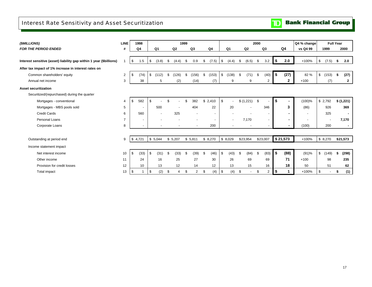## <span id="page-18-0"></span>Interest Rate Sensitivity and Asset Securitization

|  |  | <b>TD</b> Bank Financial Group |  |
|--|--|--------------------------------|--|
|--|--|--------------------------------|--|

| (\$MILLIONS)                                                        | <b>LINE</b>    |            | 1998                     |                |     |                | 1999 |                |                          |                |                |       | 2000 |                          |      |                | Q4 % change              |      | <b>Full Year</b> |    |              |
|---------------------------------------------------------------------|----------------|------------|--------------------------|----------------|-----|----------------|------|----------------|--------------------------|----------------|----------------|-------|------|--------------------------|------|----------------|--------------------------|------|------------------|----|--------------|
| <b>FOR THE PERIOD ENDED</b>                                         | #              |            | Q <sub>4</sub>           | Q <sub>1</sub> |     | Q <sub>2</sub> |      | Q <sub>3</sub> | Q4                       | Q <sub>1</sub> | Q <sub>2</sub> |       |      | Q <sub>3</sub>           |      | Q4             | vs Q4 99                 |      | 1999             |    | 2000         |
|                                                                     |                |            |                          |                |     |                |      |                |                          |                |                |       |      |                          |      |                |                          |      |                  |    |              |
| Interest sensitive (asset) liability gap within 1 year (\$billions) |                | $\sqrt{3}$ | 1.5                      | \$<br>(3.8)    | \$  | (4.4)          | \$   | 0.9            | \$<br>(7.5)              | \$<br>(4.4)    | \$             | (6.5) | \$   | 3.2                      | I \$ | 2.0            | $+100%$                  | l \$ | (7.5)            | \$ | 2.0          |
| After tax impact of 1% increase in interest rates on                |                |            |                          |                |     |                |      |                |                          |                |                |       |      |                          |      |                |                          |      |                  |    |              |
| Common shareholders' equity                                         | 2              | \$         | (74)                     | \$<br>(112)    | \$  | (126)          | \$   | (156)          | \$<br>(153)              | \$<br>(138)    | \$             | (71)  | \$   | (40)                     |      | (27)           | 82 %                     | \$   | (153)            | \$ | (27)         |
| Annual net income                                                   | 3              |            | 38                       | 5              |     | (2)            |      | (14)           | (7)                      | 9              |                | 9     |      | $\overline{2}$           |      | $\mathbf{2}$   | $+100$                   |      | (7)              |    | $\mathbf{2}$ |
| <b>Asset securitization</b>                                         |                |            |                          |                |     |                |      |                |                          |                |                |       |      |                          |      |                |                          |      |                  |    |              |
| Securitized/(repurchased) during the quarter                        |                |            |                          |                |     |                |      |                |                          |                |                |       |      |                          |      |                |                          |      |                  |    |              |
| Mortgages - conventional                                            | $\overline{4}$ | \$         | 582                      | \$             |     |                |      | 382            | \$2,410                  | \$             | \$(1,221)      |       | \$   |                          | S    | $\blacksquare$ | (100)%                   |      | \$2,792          |    | \$(1,221)    |
| Mortgages - MBS pools sold                                          | 5              |            | $\sim$                   | 500            |     |                |      | 404            | 22                       | 20             |                |       |      | 346                      |      | 3              | (86)                     |      | 926              |    | 369          |
| <b>Credit Cards</b>                                                 | 6              |            | 560                      |                |     | 325            |      |                | $\overline{\phantom{a}}$ |                |                |       |      | $\overline{\phantom{a}}$ |      | $\blacksquare$ | $\overline{\phantom{a}}$ |      | 325              |    |              |
| Personal Loans                                                      | $\overline{7}$ |            | $\overline{\phantom{a}}$ |                |     |                |      |                |                          |                | 7,170          |       |      | $\overline{\phantom{a}}$ |      | $\blacksquare$ |                          |      |                  |    | 7,170        |
| Corporate Loans                                                     | 8              |            | $\sim$                   |                |     |                |      |                | 200                      |                |                |       |      | $\sim$                   |      | $\blacksquare$ | (100)                    |      | 200              |    | $\sim$       |
|                                                                     |                |            |                          |                |     |                |      |                |                          |                |                |       |      |                          |      |                |                          |      |                  |    |              |
| Outstanding at period end                                           | 9              |            | \$4,721                  | \$5.044        |     | \$5,207        |      | \$5,811        | \$8,270                  | \$8,029        | \$23,954       |       |      | \$23,007                 |      | \$21,573       | $+100%$                  |      | \$8,270          |    | \$21,573     |
| Income statement impact                                             |                |            |                          |                |     |                |      |                |                          |                |                |       |      |                          |      |                |                          |      |                  |    |              |
| Net interest income                                                 | 10             | \$         | (33)                     | \$<br>(31)     | -\$ | (33)           | \$.  | (39)           | \$<br>(46)               | \$<br>(43)     | \$             | (84)  | \$   | (83)                     | \$   | (88)           | (91)%                    | \$   | (149)            | s. | (298)        |
| Other income                                                        | 11             |            | 24                       | 16             |     | 25             |      | 27             | 30                       | 26             |                | 69    |      | 69                       |      | 71             | $+100$                   |      | 98               |    | 235          |
| Provision for credit losses                                         | 12             |            | 10                       | 13             |     | 12             |      | 14             | 12                       | 13             |                | 15    |      | 16                       |      | 18             | 50                       |      | 51               |    | 62           |
| Total impact                                                        | 13             | -\$        |                          | \$<br>(2)      | -\$ |                | \$   | $\overline{2}$ | \$<br>(4)                | \$<br>(4)      | \$             |       | \$   | $\overline{2}$           | l \$ |                | +100%                    | \$   |                  | s. | (1)          |